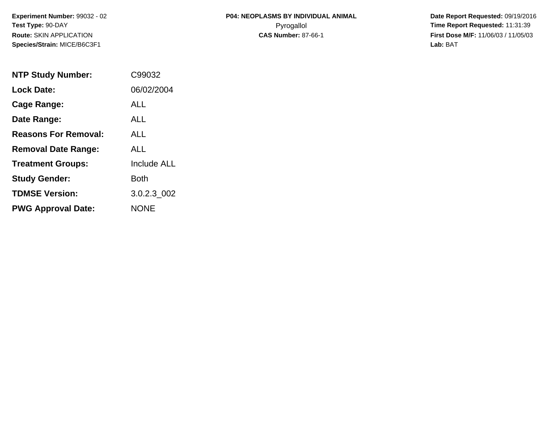**Date Report Requested:** 09/19/2016 **First Dose M/F:** 11/06/03 / 11/05/03<br>Lab: BAT **Lab:** BAT

| <b>NTP Study Number:</b>    | C99032             |
|-----------------------------|--------------------|
| <b>Lock Date:</b>           | 06/02/2004         |
| <b>Cage Range:</b>          | ALL                |
| Date Range:                 | ALL                |
| <b>Reasons For Removal:</b> | <b>ALL</b>         |
| <b>Removal Date Range:</b>  | ALL                |
| <b>Treatment Groups:</b>    | <b>Include ALL</b> |
| <b>Study Gender:</b>        | Both               |
| <b>TDMSE Version:</b>       | 3.0.2.3 002        |
| <b>PWG Approval Date:</b>   | NONE               |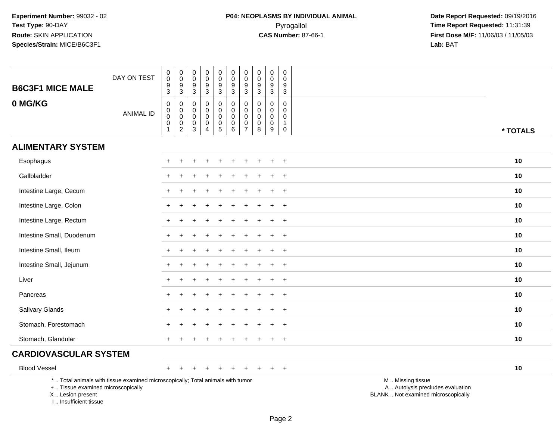| <b>B6C3F1 MICE MALE</b>                                                          | DAY ON TEST                                                                     | $\pmb{0}$<br>$\pmb{0}$<br>$\boldsymbol{9}$<br>3                                | $\mathsf{O}\xspace$<br>$\pmb{0}$<br>$\frac{9}{3}$                       | $\boldsymbol{0}$<br>$\mathbf 0$<br>$9\,$<br>3                 | $\mathsf 0$<br>$\mathbf 0$<br>$\boldsymbol{9}$<br>$\sqrt{3}$     | $\pmb{0}$<br>$\mathbf 0$<br>$\overline{9}$<br>3                   | $\pmb{0}$<br>$\mathsf{O}\xspace$<br>$\overline{9}$<br>$\overline{3}$ | $\pmb{0}$<br>$\mathbf 0$<br>$\boldsymbol{9}$<br>$\mathbf{3}$               | $\pmb{0}$<br>$\mathbf 0$<br>9<br>3               | $\pmb{0}$<br>$\mathbf 0$<br>$\boldsymbol{9}$<br>3             | $\mathbf 0$<br>$\mathbf 0$<br>9<br>3                       |                                                                                               |
|----------------------------------------------------------------------------------|---------------------------------------------------------------------------------|--------------------------------------------------------------------------------|-------------------------------------------------------------------------|---------------------------------------------------------------|------------------------------------------------------------------|-------------------------------------------------------------------|----------------------------------------------------------------------|----------------------------------------------------------------------------|--------------------------------------------------|---------------------------------------------------------------|------------------------------------------------------------|-----------------------------------------------------------------------------------------------|
| 0 MG/KG                                                                          | <b>ANIMAL ID</b>                                                                | $\mathbf 0$<br>$\pmb{0}$<br>$\mathsf{O}\xspace$<br>$\mathbf 0$<br>$\mathbf{1}$ | $\mathbf 0$<br>$\pmb{0}$<br>$\mathsf{O}$<br>$\pmb{0}$<br>$\overline{2}$ | $\mathbf 0$<br>$\mathbf 0$<br>$\mathbf 0$<br>0<br>$\mathsf 3$ | $\mathbf 0$<br>$\mathbf 0$<br>$\mathbf 0$<br>0<br>$\overline{4}$ | 0<br>$\mathsf{O}$<br>$\mathbf 0$<br>$\mathbf 0$<br>$\overline{5}$ | $\pmb{0}$<br>$\pmb{0}$<br>$\mathbf 0$<br>$\mathbf 0$<br>$\,6\,$      | $\mathbf 0$<br>$\mathbf 0$<br>$\mathbf 0$<br>$\mathbf 0$<br>$\overline{7}$ | $\Omega$<br>$\mathbf 0$<br>$\mathbf 0$<br>0<br>8 | $\mathbf 0$<br>$\mathbf 0$<br>$\mathbf 0$<br>$\mathbf 0$<br>9 | $\Omega$<br>$\mathbf 0$<br>$\mathbf 0$<br>1<br>$\mathbf 0$ | * TOTALS                                                                                      |
| <b>ALIMENTARY SYSTEM</b>                                                         |                                                                                 |                                                                                |                                                                         |                                                               |                                                                  |                                                                   |                                                                      |                                                                            |                                                  |                                                               |                                                            |                                                                                               |
| Esophagus                                                                        |                                                                                 |                                                                                |                                                                         |                                                               |                                                                  |                                                                   |                                                                      |                                                                            |                                                  |                                                               | $\overline{ }$                                             | 10                                                                                            |
| Gallbladder                                                                      |                                                                                 |                                                                                |                                                                         |                                                               |                                                                  |                                                                   |                                                                      |                                                                            |                                                  |                                                               | $\overline{1}$                                             | 10                                                                                            |
| Intestine Large, Cecum                                                           |                                                                                 |                                                                                |                                                                         |                                                               |                                                                  |                                                                   |                                                                      |                                                                            |                                                  |                                                               | $+$                                                        | 10                                                                                            |
| Intestine Large, Colon                                                           |                                                                                 |                                                                                |                                                                         |                                                               |                                                                  |                                                                   |                                                                      |                                                                            |                                                  | ÷                                                             | $+$                                                        | 10                                                                                            |
| Intestine Large, Rectum                                                          |                                                                                 |                                                                                |                                                                         |                                                               |                                                                  |                                                                   |                                                                      |                                                                            |                                                  |                                                               | $\ddot{}$                                                  | 10                                                                                            |
| Intestine Small, Duodenum                                                        |                                                                                 |                                                                                |                                                                         |                                                               |                                                                  |                                                                   |                                                                      |                                                                            |                                                  |                                                               | $\ddot{}$                                                  | 10                                                                                            |
| Intestine Small, Ileum                                                           |                                                                                 |                                                                                |                                                                         |                                                               |                                                                  |                                                                   |                                                                      |                                                                            |                                                  |                                                               | $\ddot{}$                                                  | 10                                                                                            |
| Intestine Small, Jejunum                                                         |                                                                                 |                                                                                |                                                                         |                                                               |                                                                  |                                                                   |                                                                      |                                                                            |                                                  |                                                               | $\overline{ }$                                             | 10                                                                                            |
| Liver                                                                            |                                                                                 |                                                                                |                                                                         |                                                               |                                                                  |                                                                   |                                                                      |                                                                            |                                                  |                                                               | $\overline{ }$                                             | 10                                                                                            |
| Pancreas                                                                         |                                                                                 | $\div$                                                                         |                                                                         |                                                               |                                                                  |                                                                   |                                                                      |                                                                            |                                                  | $\ddot{}$                                                     | $+$                                                        | 10                                                                                            |
| Salivary Glands                                                                  |                                                                                 |                                                                                |                                                                         |                                                               |                                                                  |                                                                   |                                                                      |                                                                            |                                                  |                                                               | $\ddot{}$                                                  | 10                                                                                            |
| Stomach, Forestomach                                                             |                                                                                 |                                                                                |                                                                         |                                                               |                                                                  |                                                                   |                                                                      |                                                                            |                                                  |                                                               |                                                            | 10                                                                                            |
| Stomach, Glandular                                                               |                                                                                 | +                                                                              |                                                                         |                                                               |                                                                  |                                                                   |                                                                      |                                                                            |                                                  |                                                               | $\ddot{}$                                                  | 10                                                                                            |
| <b>CARDIOVASCULAR SYSTEM</b>                                                     |                                                                                 |                                                                                |                                                                         |                                                               |                                                                  |                                                                   |                                                                      |                                                                            |                                                  |                                                               |                                                            |                                                                                               |
| <b>Blood Vessel</b>                                                              |                                                                                 | $+$                                                                            |                                                                         |                                                               |                                                                  | $\div$                                                            |                                                                      |                                                                            |                                                  | $\pm$                                                         | $+$                                                        | 10                                                                                            |
| +  Tissue examined microscopically<br>X  Lesion present<br>I Insufficient tissue | *  Total animals with tissue examined microscopically; Total animals with tumor |                                                                                |                                                                         |                                                               |                                                                  |                                                                   |                                                                      |                                                                            |                                                  |                                                               |                                                            | M  Missing tissue<br>A  Autolysis precludes evaluation<br>BLANK  Not examined microscopically |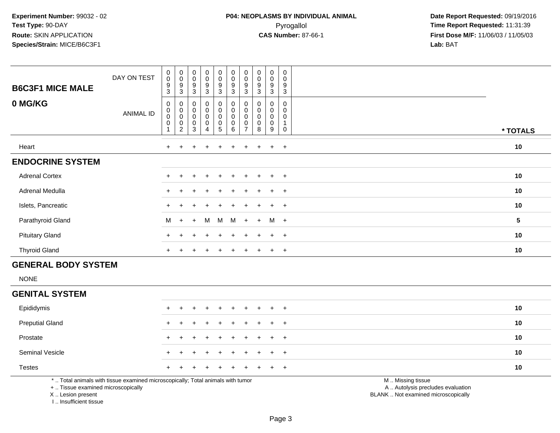| <b>B6C3F1 MICE MALE</b><br>0 MG/KG | DAY ON TEST<br><b>ANIMAL ID</b> | 0<br>$\mathsf{O}\xspace$<br>9<br>3<br>$\mathbf 0$<br>$\begin{smallmatrix}0\0\0\end{smallmatrix}$<br>$\pmb{0}$ | $\begin{smallmatrix}0\\0\end{smallmatrix}$<br>$\frac{9}{3}$<br>$\boldsymbol{0}$<br>$\begin{smallmatrix}0\\0\end{smallmatrix}$<br>$\begin{smallmatrix} 0\\ 2 \end{smallmatrix}$ | $_{\rm 0}^{\rm 0}$<br>$\boldsymbol{9}$<br>$\ensuremath{\mathsf{3}}$<br>$\begin{smallmatrix}0\\0\\0\\0\end{smallmatrix}$<br>$_{3}^{\rm 0}$ | $\begin{smallmatrix}0\0\0\9\end{smallmatrix}$<br>$\sqrt{3}$<br>$\begin{smallmatrix}0\0\0\0\0\end{smallmatrix}$ | $\begin{array}{c}\n0 \\ 0 \\ 3\n\end{array}$<br>0<br>0<br>0<br>5 | $_{\rm 0}^{\rm 0}$<br>$\boldsymbol{9}$<br>3<br>0<br>$\mathbf 0$<br>$\pmb{0}$<br>$\,0\,$ | $\begin{smallmatrix}0\\0\end{smallmatrix}$<br>9<br>3<br>0<br>$\mathbf 0$ | $\begin{smallmatrix}0\0\0\end{smallmatrix}$<br>$\boldsymbol{9}$<br>$\mathbf{3}$<br>0<br>0<br>0<br>$\pmb{0}$ | 0<br>0<br>$\boldsymbol{9}$<br>3<br>0<br>0<br>0<br>0 | $\mathbf 0$<br>$\pmb{0}$<br>$\boldsymbol{9}$<br>$\mathbf{3}$<br>$\mathbf 0$<br>$\mathbf 0$<br>$\mathbf 0$ |                         |
|------------------------------------|---------------------------------|---------------------------------------------------------------------------------------------------------------|--------------------------------------------------------------------------------------------------------------------------------------------------------------------------------|-------------------------------------------------------------------------------------------------------------------------------------------|----------------------------------------------------------------------------------------------------------------|------------------------------------------------------------------|-----------------------------------------------------------------------------------------|--------------------------------------------------------------------------|-------------------------------------------------------------------------------------------------------------|-----------------------------------------------------|-----------------------------------------------------------------------------------------------------------|-------------------------|
|                                    |                                 |                                                                                                               |                                                                                                                                                                                |                                                                                                                                           | 4                                                                                                              |                                                                  | 6                                                                                       |                                                                          | 8                                                                                                           | 9                                                   | $\mathbf 0$                                                                                               | * TOTALS                |
| Heart                              |                                 | $+$                                                                                                           | $\pm$                                                                                                                                                                          |                                                                                                                                           | $\pm$                                                                                                          | $\pm$                                                            | ٠                                                                                       |                                                                          | $\pm$                                                                                                       | $+$                                                 | $+$                                                                                                       | 10                      |
| <b>ENDOCRINE SYSTEM</b>            |                                 |                                                                                                               |                                                                                                                                                                                |                                                                                                                                           |                                                                                                                |                                                                  |                                                                                         |                                                                          |                                                                                                             |                                                     |                                                                                                           |                         |
| <b>Adrenal Cortex</b>              |                                 | $\ddot{}$                                                                                                     |                                                                                                                                                                                |                                                                                                                                           | $+$                                                                                                            | $\ddot{}$                                                        | ÷                                                                                       |                                                                          | $\ddot{}$                                                                                                   | $+$                                                 | $+$                                                                                                       | 10                      |
| Adrenal Medulla                    |                                 | $+$                                                                                                           | $\pm$                                                                                                                                                                          | $\div$                                                                                                                                    | $\pm$                                                                                                          | $\pm$                                                            | $\ddot{}$                                                                               | $+$                                                                      | $\pm$                                                                                                       | $+$                                                 | $+$                                                                                                       | 10                      |
| Islets, Pancreatic                 |                                 | $\pm$                                                                                                         |                                                                                                                                                                                | $\div$                                                                                                                                    | $\pm$                                                                                                          | $+$                                                              | $\ddot{}$                                                                               | $+$                                                                      | $+$                                                                                                         | $+$                                                 | $+$                                                                                                       | 10                      |
| Parathyroid Gland                  |                                 | M                                                                                                             | $+$                                                                                                                                                                            | $+$                                                                                                                                       | M                                                                                                              | M                                                                | M                                                                                       | $+$                                                                      | $+$                                                                                                         | M +                                                 |                                                                                                           | $\overline{\mathbf{5}}$ |
| <b>Pituitary Gland</b>             |                                 | $\pm$                                                                                                         |                                                                                                                                                                                | $\div$                                                                                                                                    | $\pm$                                                                                                          | $\pm$                                                            | $\pm$                                                                                   | $\pm$                                                                    | $+$                                                                                                         | $+$                                                 | $+$                                                                                                       | 10                      |
| <b>Thyroid Gland</b>               |                                 | $\ddot{}$                                                                                                     |                                                                                                                                                                                |                                                                                                                                           |                                                                                                                |                                                                  |                                                                                         |                                                                          |                                                                                                             | $\pm$                                               | $+$                                                                                                       | 10                      |

## **GENERAL BODY SYSTEM**

NONE

#### **GENITAL SYSTEM**

| Epididymis             |  | + + + + + + + + + + |  |  |  |  | 10 |
|------------------------|--|---------------------|--|--|--|--|----|
| <b>Preputial Gland</b> |  | + + + + + + + + + + |  |  |  |  | 10 |
| Prostate               |  | + + + + + + + + + + |  |  |  |  | 10 |
| <b>Seminal Vesicle</b> |  | + + + + + + + + + + |  |  |  |  | 10 |
| <b>Testes</b>          |  | + + + + + + + + + + |  |  |  |  | 10 |
|                        |  |                     |  |  |  |  |    |

\* .. Total animals with tissue examined microscopically; Total animals with tumor

+ .. Tissue examined microscopically

X .. Lesion present

I .. Insufficient tissue

M .. Missing tissue

y the contract of the contract of the contract of the contract of the contract of the contract of the contract of  $A$ . Autolysis precludes evaluation

Lesion present BLANK .. Not examined microscopically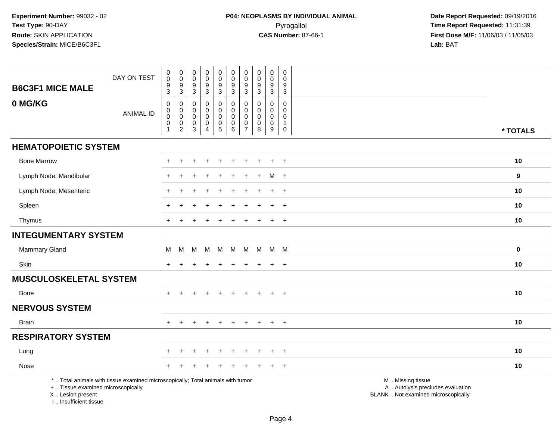| <b>B6C3F1 MICE MALE</b>                                                          | DAY ON TEST                                                                     | $\pmb{0}$<br>0<br>$\mathsf g$<br>3                             | $_{\rm 0}^{\rm 0}$<br>$\boldsymbol{9}$<br>3                            | $\pmb{0}$<br>$\boldsymbol{0}$<br>$\boldsymbol{9}$<br>$\sqrt{3}$ | $_{\rm 0}^{\rm 0}$<br>$\overline{9}$<br>$\mathbf{3}$                     | $\begin{smallmatrix} 0\\0 \end{smallmatrix}$<br>$\boldsymbol{9}$<br>3 | $\pmb{0}$<br>$\mathbf 0$<br>$\boldsymbol{9}$<br>$\mathbf{3}$        | $\pmb{0}$<br>$\mathbf 0$<br>9<br>3                     | $\pmb{0}$<br>$\mathbf 0$<br>$\boldsymbol{9}$<br>$\mathbf{3}$ | $\pmb{0}$<br>0<br>$\boldsymbol{9}$<br>3                 | $\mathbf 0$<br>$\mathbf 0$<br>9<br>$\mathbf{3}$                          |                                                                                               |          |
|----------------------------------------------------------------------------------|---------------------------------------------------------------------------------|----------------------------------------------------------------|------------------------------------------------------------------------|-----------------------------------------------------------------|--------------------------------------------------------------------------|-----------------------------------------------------------------------|---------------------------------------------------------------------|--------------------------------------------------------|--------------------------------------------------------------|---------------------------------------------------------|--------------------------------------------------------------------------|-----------------------------------------------------------------------------------------------|----------|
| 0 MG/KG                                                                          | <b>ANIMAL ID</b>                                                                | $\mathbf 0$<br>0<br>$\mathbf 0$<br>$\mathbf 0$<br>$\mathbf{1}$ | 0<br>$\mathsf{O}\xspace$<br>$\mathbf 0$<br>$\pmb{0}$<br>$\overline{c}$ | 0<br>0<br>0<br>$\pmb{0}$<br>$\mathbf{3}$                        | $\mathbf 0$<br>$\mathbf 0$<br>$\mathbf 0$<br>$\pmb{0}$<br>$\overline{4}$ | 0<br>$\mathbf 0$<br>0<br>$\begin{array}{c} 0 \\ 5 \end{array}$        | $\mathbf 0$<br>$\mathsf{O}\xspace$<br>$\mathbf 0$<br>$\pmb{0}$<br>6 | 0<br>$\mathbf 0$<br>$\mathbf 0$<br>0<br>$\overline{7}$ | $\Omega$<br>$\mathbf 0$<br>0<br>0<br>8                       | $\mathbf 0$<br>$\mathbf 0$<br>0<br>$\mathbf 0$<br>$9\,$ | $\mathbf 0$<br>$\mathbf 0$<br>$\mathbf 0$<br>$\mathbf{1}$<br>$\mathbf 0$ |                                                                                               | * TOTALS |
| <b>HEMATOPOIETIC SYSTEM</b>                                                      |                                                                                 |                                                                |                                                                        |                                                                 |                                                                          |                                                                       |                                                                     |                                                        |                                                              |                                                         |                                                                          |                                                                                               |          |
| <b>Bone Marrow</b>                                                               |                                                                                 |                                                                |                                                                        |                                                                 |                                                                          |                                                                       |                                                                     |                                                        |                                                              |                                                         | $\overline{1}$                                                           |                                                                                               | 10       |
| Lymph Node, Mandibular                                                           |                                                                                 |                                                                |                                                                        |                                                                 |                                                                          |                                                                       |                                                                     |                                                        |                                                              | м                                                       | $+$                                                                      |                                                                                               | 9        |
| Lymph Node, Mesenteric                                                           |                                                                                 |                                                                |                                                                        |                                                                 |                                                                          |                                                                       |                                                                     |                                                        |                                                              |                                                         | $+$                                                                      |                                                                                               | 10       |
| Spleen                                                                           |                                                                                 |                                                                |                                                                        |                                                                 |                                                                          |                                                                       |                                                                     |                                                        |                                                              | ÷                                                       | $\ddot{}$                                                                |                                                                                               | 10       |
| Thymus                                                                           |                                                                                 |                                                                |                                                                        |                                                                 |                                                                          |                                                                       |                                                                     |                                                        |                                                              | $\ddot{}$                                               | $\overline{+}$                                                           |                                                                                               | 10       |
| <b>INTEGUMENTARY SYSTEM</b>                                                      |                                                                                 |                                                                |                                                                        |                                                                 |                                                                          |                                                                       |                                                                     |                                                        |                                                              |                                                         |                                                                          |                                                                                               |          |
| Mammary Gland                                                                    |                                                                                 | М                                                              | M                                                                      | M                                                               | M                                                                        | M                                                                     | M                                                                   | M                                                      | M                                                            |                                                         | M M                                                                      |                                                                                               | $\bf{0}$ |
| Skin                                                                             |                                                                                 |                                                                |                                                                        |                                                                 |                                                                          |                                                                       |                                                                     |                                                        |                                                              | $\div$                                                  | $+$                                                                      |                                                                                               | 10       |
| <b>MUSCULOSKELETAL SYSTEM</b>                                                    |                                                                                 |                                                                |                                                                        |                                                                 |                                                                          |                                                                       |                                                                     |                                                        |                                                              |                                                         |                                                                          |                                                                                               |          |
| <b>Bone</b>                                                                      |                                                                                 |                                                                |                                                                        |                                                                 |                                                                          |                                                                       |                                                                     |                                                        |                                                              | $\ddot{}$                                               | $+$                                                                      |                                                                                               | 10       |
| <b>NERVOUS SYSTEM</b>                                                            |                                                                                 |                                                                |                                                                        |                                                                 |                                                                          |                                                                       |                                                                     |                                                        |                                                              |                                                         |                                                                          |                                                                                               |          |
| <b>Brain</b>                                                                     |                                                                                 | $+$                                                            | $\ddot{}$                                                              | $+$                                                             | $+$                                                                      | $+$                                                                   | $+$                                                                 | $+$                                                    | $+$                                                          | $+$                                                     | $+$                                                                      |                                                                                               | 10       |
| <b>RESPIRATORY SYSTEM</b>                                                        |                                                                                 |                                                                |                                                                        |                                                                 |                                                                          |                                                                       |                                                                     |                                                        |                                                              |                                                         |                                                                          |                                                                                               |          |
| Lung                                                                             |                                                                                 |                                                                |                                                                        |                                                                 |                                                                          |                                                                       |                                                                     |                                                        |                                                              |                                                         | $\overline{ }$                                                           |                                                                                               | 10       |
| Nose                                                                             |                                                                                 |                                                                |                                                                        |                                                                 |                                                                          |                                                                       |                                                                     |                                                        |                                                              |                                                         | $\ddot{}$                                                                |                                                                                               | 10       |
| +  Tissue examined microscopically<br>X  Lesion present<br>I Insufficient tissue | *  Total animals with tissue examined microscopically; Total animals with tumor |                                                                |                                                                        |                                                                 |                                                                          |                                                                       |                                                                     |                                                        |                                                              |                                                         |                                                                          | M  Missing tissue<br>A  Autolysis precludes evaluation<br>BLANK  Not examined microscopically |          |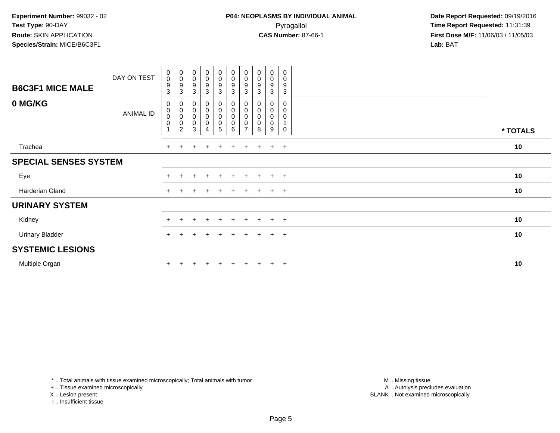| <b>B6C3F1 MICE MALE</b>      | DAY ON TEST      | $\begin{smallmatrix}0\\0\end{smallmatrix}$<br>$\boldsymbol{9}$<br>3 | $_{\rm 0}^{\rm 0}$<br>$\boldsymbol{9}$<br>3                               | $_{\rm 0}^{\rm 0}$<br>$\boldsymbol{9}$<br>$\mathbf{3}$      | $\begin{smallmatrix} 0\\0 \end{smallmatrix}$<br>$\boldsymbol{9}$<br>3         | $_{\rm 0}^{\rm 0}$<br>$\boldsymbol{9}$<br>$\mathbf{3}$    | $\begin{smallmatrix}0\0\0\end{smallmatrix}$<br>$\boldsymbol{9}$<br>3 | $_{\rm 0}^{\rm 0}$<br>9<br>3                 | $\begin{smallmatrix} 0\\0 \end{smallmatrix}$<br>$\boldsymbol{9}$<br>3 | $\begin{smallmatrix} 0\\0 \end{smallmatrix}$<br>$\boldsymbol{9}$<br>3 | $\boldsymbol{0}$<br>$\boldsymbol{0}$<br>$\boldsymbol{9}$<br>$\mathbf{3}$ |          |
|------------------------------|------------------|---------------------------------------------------------------------|---------------------------------------------------------------------------|-------------------------------------------------------------|-------------------------------------------------------------------------------|-----------------------------------------------------------|----------------------------------------------------------------------|----------------------------------------------|-----------------------------------------------------------------------|-----------------------------------------------------------------------|--------------------------------------------------------------------------|----------|
| 0 MG/KG                      | <b>ANIMAL ID</b> | 0<br>$\pmb{0}$<br>0<br>$\pmb{0}$                                    | $\boldsymbol{0}$<br>$\pmb{0}$<br>$\pmb{0}$<br>$\pmb{0}$<br>$\overline{2}$ | $\pmb{0}$<br>$\begin{matrix} 0 \\ 0 \\ 0 \end{matrix}$<br>3 | $\begin{smallmatrix} 0\\0 \end{smallmatrix}$<br>$\mathbf 0$<br>$\pmb{0}$<br>4 | $\mathbf 0$<br>$\pmb{0}$<br>$\mathbf 0$<br>$\pmb{0}$<br>5 | 0<br>$\boldsymbol{0}$<br>0<br>0<br>6                                 | 0<br>0<br>$\mathbf 0$<br>0<br>$\overline{z}$ | 0<br>$\pmb{0}$<br>$\pmb{0}$<br>$\pmb{0}$<br>8                         | 0<br>$\pmb{0}$<br>$\pmb{0}$<br>0<br>9                                 | 0<br>$\pmb{0}$<br>$\pmb{0}$<br>$\mathbf{1}$<br>0                         | * TOTALS |
| Trachea                      |                  | $+$                                                                 | $+$                                                                       | ÷                                                           | $\ddot{}$                                                                     | $\pm$                                                     | $\ddot{}$                                                            | $+$                                          | $\pm$                                                                 | $+$                                                                   | $+$                                                                      | 10       |
| <b>SPECIAL SENSES SYSTEM</b> |                  |                                                                     |                                                                           |                                                             |                                                                               |                                                           |                                                                      |                                              |                                                                       |                                                                       |                                                                          |          |
| Eye                          |                  | $+$                                                                 | $+$                                                                       | $\pm$                                                       | $+$                                                                           | $+$                                                       | $+$                                                                  | $+$                                          | $+$                                                                   | $+$                                                                   | $+$                                                                      | 10       |
| Harderian Gland              |                  | $+$                                                                 |                                                                           |                                                             |                                                                               |                                                           | $\div$                                                               | $+$                                          | $+$                                                                   | $+$                                                                   | $+$                                                                      | 10       |
| <b>URINARY SYSTEM</b>        |                  |                                                                     |                                                                           |                                                             |                                                                               |                                                           |                                                                      |                                              |                                                                       |                                                                       |                                                                          |          |
| Kidney                       |                  | $+$                                                                 | $+$                                                                       | $\overline{+}$                                              | $+$                                                                           | $+$                                                       | $+$                                                                  | $+$                                          | $+$                                                                   | $+$                                                                   | $+$                                                                      | 10       |
| <b>Urinary Bladder</b>       |                  | $+$                                                                 | $\ddot{}$                                                                 | $\pm$                                                       | $\overline{+}$                                                                | $\pm$                                                     | $\ddot{}$                                                            | $+$                                          | $+$                                                                   | $+$                                                                   | $+$                                                                      | 10       |
| <b>SYSTEMIC LESIONS</b>      |                  |                                                                     |                                                                           |                                                             |                                                                               |                                                           |                                                                      |                                              |                                                                       |                                                                       |                                                                          |          |
| Multiple Organ               |                  |                                                                     |                                                                           |                                                             |                                                                               |                                                           |                                                                      |                                              |                                                                       | $+$                                                                   | $+$                                                                      | 10       |

\* .. Total animals with tissue examined microscopically; Total animals with tumor

+ .. Tissue examined microscopically

X .. Lesion present

I .. Insufficient tissue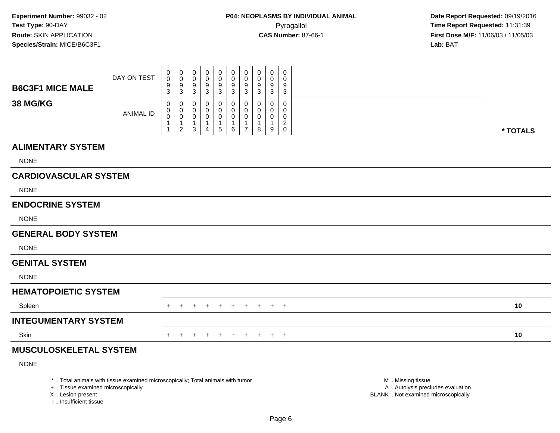|                               | DAY ON TEST                                                                                                                                                                                                                        | 0<br>$\mathbf 0$ | $\pmb{0}$<br>$\overline{0}$                                       | 0<br>$\Omega$         | 0<br>0      | $\pmb{0}$<br>0                      | 0<br>$\mathbf 0$      | $\pmb{0}$<br>$\mathbf 0$                                       | 0<br>0 | $\mathbf 0$<br>0      | 0<br>0                                              |                                      |          |
|-------------------------------|------------------------------------------------------------------------------------------------------------------------------------------------------------------------------------------------------------------------------------|------------------|-------------------------------------------------------------------|-----------------------|-------------|-------------------------------------|-----------------------|----------------------------------------------------------------|--------|-----------------------|-----------------------------------------------------|--------------------------------------|----------|
| <b>B6C3F1 MICE MALE</b>       |                                                                                                                                                                                                                                    | 9<br>3           | 9<br>3                                                            | 9<br>3                | 9<br>3      | 9<br>3                              | 9<br>$\mathbf{3}$     | $9\,$<br>3                                                     | 9<br>3 | 9<br>3                | 9<br>3                                              |                                      |          |
| <b>38 MG/KG</b>               | <b>ANIMAL ID</b>                                                                                                                                                                                                                   | 0<br>0<br>0      | 0<br>$\mathbf 0$<br>$\mathbf 0$<br>$\mathbf{1}$<br>$\overline{2}$ | 0<br>0<br>0<br>1<br>3 | 0<br>0<br>4 | 0<br>0<br>0<br>1<br>$5\phantom{.0}$ | 0<br>0<br>0<br>1<br>6 | $\Omega$<br>$\mathbf 0$<br>0<br>$\mathbf{1}$<br>$\overline{7}$ | 0<br>8 | 0<br>0<br>0<br>1<br>9 | $\Omega$<br>0<br>0<br>$\overline{c}$<br>$\mathbf 0$ |                                      | * TOTALS |
| <b>ALIMENTARY SYSTEM</b>      |                                                                                                                                                                                                                                    |                  |                                                                   |                       |             |                                     |                       |                                                                |        |                       |                                                     |                                      |          |
| <b>NONE</b>                   |                                                                                                                                                                                                                                    |                  |                                                                   |                       |             |                                     |                       |                                                                |        |                       |                                                     |                                      |          |
| <b>CARDIOVASCULAR SYSTEM</b>  |                                                                                                                                                                                                                                    |                  |                                                                   |                       |             |                                     |                       |                                                                |        |                       |                                                     |                                      |          |
| <b>NONE</b>                   |                                                                                                                                                                                                                                    |                  |                                                                   |                       |             |                                     |                       |                                                                |        |                       |                                                     |                                      |          |
| <b>ENDOCRINE SYSTEM</b>       |                                                                                                                                                                                                                                    |                  |                                                                   |                       |             |                                     |                       |                                                                |        |                       |                                                     |                                      |          |
| <b>NONE</b>                   |                                                                                                                                                                                                                                    |                  |                                                                   |                       |             |                                     |                       |                                                                |        |                       |                                                     |                                      |          |
| <b>GENERAL BODY SYSTEM</b>    |                                                                                                                                                                                                                                    |                  |                                                                   |                       |             |                                     |                       |                                                                |        |                       |                                                     |                                      |          |
| <b>NONE</b>                   |                                                                                                                                                                                                                                    |                  |                                                                   |                       |             |                                     |                       |                                                                |        |                       |                                                     |                                      |          |
| <b>GENITAL SYSTEM</b>         |                                                                                                                                                                                                                                    |                  |                                                                   |                       |             |                                     |                       |                                                                |        |                       |                                                     |                                      |          |
| <b>NONE</b>                   |                                                                                                                                                                                                                                    |                  |                                                                   |                       |             |                                     |                       |                                                                |        |                       |                                                     |                                      |          |
| <b>HEMATOPOIETIC SYSTEM</b>   |                                                                                                                                                                                                                                    |                  |                                                                   |                       |             |                                     |                       |                                                                |        |                       |                                                     |                                      |          |
| Spleen                        |                                                                                                                                                                                                                                    | +                |                                                                   |                       |             | $+$                                 | $\pm$                 | $+$                                                            | $+$    |                       | $+$ $+$                                             |                                      | 10       |
| <b>INTEGUMENTARY SYSTEM</b>   |                                                                                                                                                                                                                                    |                  |                                                                   |                       |             |                                     |                       |                                                                |        |                       |                                                     |                                      |          |
| Skin                          |                                                                                                                                                                                                                                    | $+$              | $^{+}$                                                            | $\pm$                 | $\ddot{}$   | $+$                                 | $+$                   | $+$                                                            |        | $+$ $+$ $+$           |                                                     |                                      | 10       |
| <b>MUSCULOSKELETAL SYSTEM</b> |                                                                                                                                                                                                                                    |                  |                                                                   |                       |             |                                     |                       |                                                                |        |                       |                                                     |                                      |          |
| <b>NONE</b>                   |                                                                                                                                                                                                                                    |                  |                                                                   |                       |             |                                     |                       |                                                                |        |                       |                                                     |                                      |          |
|                               | $\bullet$ . The contract of the contract of the contract of the contract of the state of the contract of the contract of the contract of the contract of the contract of the contract of the contract of the contract of the contr |                  |                                                                   |                       |             |                                     |                       |                                                                |        |                       |                                                     | <b>AA</b> AA's a family and a strain |          |

\* .. Total animals with tissue examined microscopically; Total animals with tumor

+ .. Tissue examined microscopically

X .. Lesion present

I .. Insufficient tissue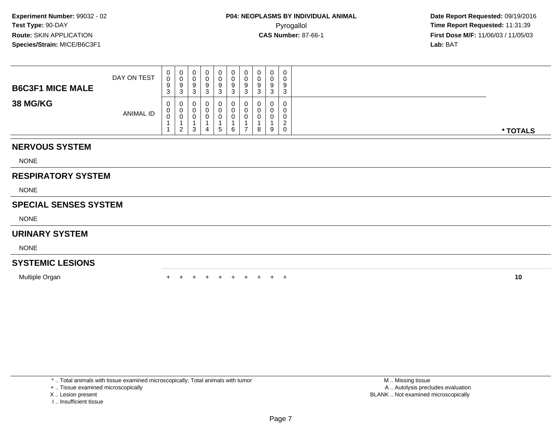| <b>B6C3F1 MICE MALE</b> | DAY ON TEST      | U<br>$\sim$<br>9<br>$\sim$<br>◡ | $\mathbf{0}$<br>ັບ<br>3 | υ<br>U<br>9<br>3      | 0<br>0<br>9<br>3 | 0<br>0<br>9<br>3           | 0<br>υ<br>9<br>◠<br>ື | Q | υ<br>υ<br>9<br>د       | 9<br>J. | 0<br>0<br>9<br>3           |          |
|-------------------------|------------------|---------------------------------|-------------------------|-----------------------|------------------|----------------------------|-----------------------|---|------------------------|---------|----------------------------|----------|
| <b>38 MG/KG</b>         | <b>ANIMAL ID</b> | 0<br>v                          | 0<br>U<br>2             | U<br>U<br>U<br>◠<br>P | 0<br>0<br>0<br>4 | 0<br>0<br>0<br>$5^{\circ}$ | 0<br>6                |   | $\mathbf{0}$<br>υ<br>8 | U<br>9  | 0<br>0<br>0<br>ີ<br>-<br>0 | * TOTALS |

### **NERVOUS SYSTEM**

NONE

## **RESPIRATORY SYSTEM**

NONE

#### **SPECIAL SENSES SYSTEM**

NONE

#### **URINARY SYSTEM**

NONE

## **SYSTEMIC LESIONS**

Multiple Organn  $+$ 

<sup>+</sup> <sup>+</sup> <sup>+</sup> <sup>+</sup> <sup>+</sup> <sup>+</sup> <sup>+</sup> <sup>+</sup> <sup>+</sup> **<sup>10</sup>**

\* .. Total animals with tissue examined microscopically; Total animals with tumor

+ .. Tissue examined microscopically

X .. Lesion present

I .. Insufficient tissue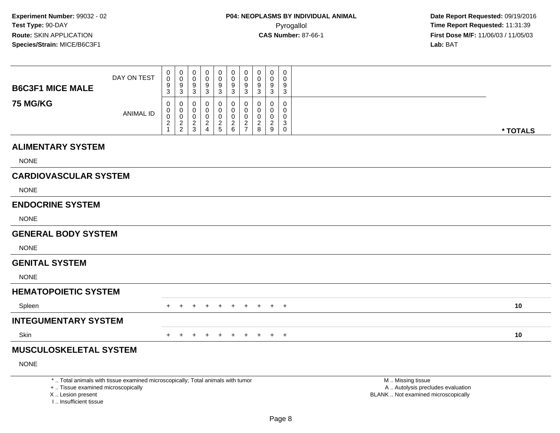|                                                                                                                  | DAY ON TEST                         | $\pmb{0}$<br>0                     | $\pmb{0}$<br>$\mathbf 0$     | 0<br>$\Omega$                      | 0<br>0                                                                                                                                                                                                                        | $\pmb{0}$<br>0             | $\pmb{0}$<br>0                  | $\pmb{0}$<br>$\mathbf 0$            | 0<br>$\mathbf 0$                   | 0<br>0                             | 0<br>$\Omega$                           |                                                                                                                                                                                                                                |          |
|------------------------------------------------------------------------------------------------------------------|-------------------------------------|------------------------------------|------------------------------|------------------------------------|-------------------------------------------------------------------------------------------------------------------------------------------------------------------------------------------------------------------------------|----------------------------|---------------------------------|-------------------------------------|------------------------------------|------------------------------------|-----------------------------------------|--------------------------------------------------------------------------------------------------------------------------------------------------------------------------------------------------------------------------------|----------|
| <b>B6C3F1 MICE MALE</b>                                                                                          |                                     | 9<br>3                             | 9<br>3                       | 9<br>3                             | 9<br>3                                                                                                                                                                                                                        | 9<br>3                     | 9<br>$\mathbf{3}$               | $\boldsymbol{9}$<br>$\mathbf{3}$    | 9<br>3                             | 9<br>$\mathbf{3}$                  | 9<br>3                                  |                                                                                                                                                                                                                                |          |
| <b>75 MG/KG</b>                                                                                                  | <b>ANIMAL ID</b>                    | 0<br>0<br>0<br>$\overline{c}$<br>1 | 0<br>0<br>0<br>$\frac{2}{2}$ | 0<br>0<br>0<br>$\overline{2}$<br>3 | 0<br>0<br>0<br>$\frac{2}{4}$                                                                                                                                                                                                  | 0<br>0<br>0<br>$rac{2}{5}$ | 0<br>0<br>0<br>$^2\phantom{1}6$ | $\Omega$<br>0<br>0<br>$\frac{2}{7}$ | 0<br>0<br>0<br>$\overline{2}$<br>8 | 0<br>0<br>0<br>$\overline{2}$<br>9 | 0<br>0<br>0<br>3<br>$\mathsf{O}\xspace$ |                                                                                                                                                                                                                                | * TOTALS |
| <b>ALIMENTARY SYSTEM</b>                                                                                         |                                     |                                    |                              |                                    |                                                                                                                                                                                                                               |                            |                                 |                                     |                                    |                                    |                                         |                                                                                                                                                                                                                                |          |
| <b>NONE</b>                                                                                                      |                                     |                                    |                              |                                    |                                                                                                                                                                                                                               |                            |                                 |                                     |                                    |                                    |                                         |                                                                                                                                                                                                                                |          |
| <b>CARDIOVASCULAR SYSTEM</b>                                                                                     |                                     |                                    |                              |                                    |                                                                                                                                                                                                                               |                            |                                 |                                     |                                    |                                    |                                         |                                                                                                                                                                                                                                |          |
| <b>NONE</b>                                                                                                      |                                     |                                    |                              |                                    |                                                                                                                                                                                                                               |                            |                                 |                                     |                                    |                                    |                                         |                                                                                                                                                                                                                                |          |
| <b>ENDOCRINE SYSTEM</b>                                                                                          |                                     |                                    |                              |                                    |                                                                                                                                                                                                                               |                            |                                 |                                     |                                    |                                    |                                         |                                                                                                                                                                                                                                |          |
| <b>NONE</b>                                                                                                      |                                     |                                    |                              |                                    |                                                                                                                                                                                                                               |                            |                                 |                                     |                                    |                                    |                                         |                                                                                                                                                                                                                                |          |
| <b>GENERAL BODY SYSTEM</b>                                                                                       |                                     |                                    |                              |                                    |                                                                                                                                                                                                                               |                            |                                 |                                     |                                    |                                    |                                         |                                                                                                                                                                                                                                |          |
| <b>NONE</b>                                                                                                      |                                     |                                    |                              |                                    |                                                                                                                                                                                                                               |                            |                                 |                                     |                                    |                                    |                                         |                                                                                                                                                                                                                                |          |
| <b>GENITAL SYSTEM</b>                                                                                            |                                     |                                    |                              |                                    |                                                                                                                                                                                                                               |                            |                                 |                                     |                                    |                                    |                                         |                                                                                                                                                                                                                                |          |
| <b>NONE</b>                                                                                                      |                                     |                                    |                              |                                    |                                                                                                                                                                                                                               |                            |                                 |                                     |                                    |                                    |                                         |                                                                                                                                                                                                                                |          |
| <b>HEMATOPOIETIC SYSTEM</b>                                                                                      |                                     |                                    |                              |                                    |                                                                                                                                                                                                                               |                            |                                 |                                     |                                    |                                    |                                         |                                                                                                                                                                                                                                |          |
| Spleen                                                                                                           |                                     | $^+$                               | $+$                          | $\ddot{}$                          |                                                                                                                                                                                                                               | $^+$                       | $+$                             | $+$                                 | $+$                                | $+$ $+$                            |                                         |                                                                                                                                                                                                                                | 10       |
| <b>INTEGUMENTARY SYSTEM</b>                                                                                      |                                     |                                    |                              |                                    |                                                                                                                                                                                                                               |                            |                                 |                                     |                                    |                                    |                                         |                                                                                                                                                                                                                                |          |
| Skin                                                                                                             |                                     | $+$                                | $+$                          | $+$                                | $+$                                                                                                                                                                                                                           | $+$                        | $+$                             | $+$                                 |                                    | $+$ $+$ $+$                        |                                         |                                                                                                                                                                                                                                | 10       |
| <b>MUSCULOSKELETAL SYSTEM</b>                                                                                    |                                     |                                    |                              |                                    |                                                                                                                                                                                                                               |                            |                                 |                                     |                                    |                                    |                                         |                                                                                                                                                                                                                                |          |
| <b>NONE</b>                                                                                                      |                                     |                                    |                              |                                    |                                                                                                                                                                                                                               |                            |                                 |                                     |                                    |                                    |                                         |                                                                                                                                                                                                                                |          |
| the terms of the contract of the contract of the contract of the contract of the contract of the contract of the | the contract of the contract of the |                                    |                              |                                    | the comment of the comment of the comment of the comment of the comment of the comment of the comment of the comment of the comment of the comment of the comment of the comment of the comment of the comment of the comment |                            |                                 |                                     |                                    |                                    |                                         | the state of the state of the state of the state of the state of the state of the state of the state of the state of the state of the state of the state of the state of the state of the state of the state of the state of t |          |

\* .. Total animals with tissue examined microscopically; Total animals with tumor

+ .. Tissue examined microscopically

X .. Lesion present

I .. Insufficient tissue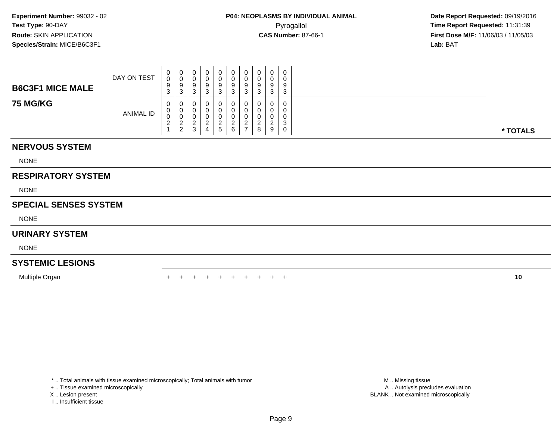| <b>B6C3F1 MICE MALE</b> | DAY ON TEST      | U<br>$\sim$<br>9<br>ັ | $\mathbf{0}$<br>3       | U<br>У<br>P                              | 0<br>0<br>9<br>ు | 0<br>0<br>9<br>3       | U<br>$\Omega$<br>ື | J | υ<br>ν<br>9<br>د | 9<br>u        | 0<br>9<br>-3          |          |
|-------------------------|------------------|-----------------------|-------------------------|------------------------------------------|------------------|------------------------|--------------------|---|------------------|---------------|-----------------------|----------|
| <b>75 MG/KG</b>         | <b>ANIMAL ID</b> | 0<br>v<br><u>_</u>    | 0<br>U<br><u>_</u><br>∠ | U<br>U<br>U<br><u>.</u><br>◠<br><b>ت</b> | 0<br>0<br>0<br>4 | 0<br>Ü<br>$\mathbf{p}$ | 0<br>6             |   | 0<br>8           | <u>.</u><br>9 | 0<br>0<br>0<br>3<br>0 | * TOTALS |

## **NERVOUS SYSTEM**

NONE

## **RESPIRATORY SYSTEM**

NONE

#### **SPECIAL SENSES SYSTEM**

NONE

#### **URINARY SYSTEM**

NONE

## **SYSTEMIC LESIONS**

Multiple Organn  $+$ 

<sup>+</sup> <sup>+</sup> <sup>+</sup> <sup>+</sup> <sup>+</sup> <sup>+</sup> <sup>+</sup> <sup>+</sup> <sup>+</sup> **<sup>10</sup>**

\* .. Total animals with tissue examined microscopically; Total animals with tumor

+ .. Tissue examined microscopically

X .. Lesion present

I .. Insufficient tissue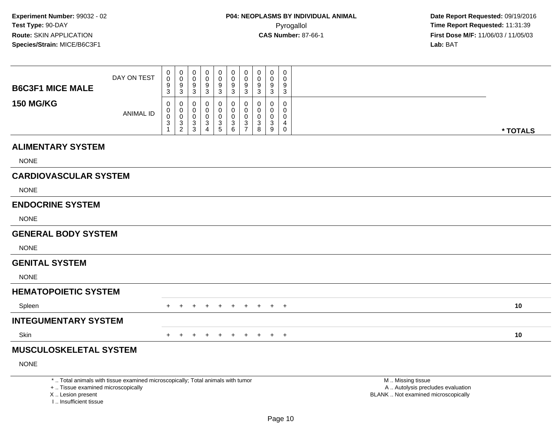| <b>B6C3F1 MICE MALE</b>       | DAY ON TEST      | $\pmb{0}$<br>$\pmb{0}$<br>$\boldsymbol{9}$                                    | 0<br>$\pmb{0}$<br>9                                                                 | 0<br>0<br>9                                                                | 0<br>0<br>9                                                            | $\pmb{0}$<br>$\pmb{0}$<br>9                                                  | $\mathbf 0$<br>$\mathbf 0$<br>$\boldsymbol{9}$             | 0<br>$\mathbf 0$<br>$9\,$                                              | 0<br>0<br>9                | 0<br>0<br>9                | 0<br>0<br>9                        |          |  |
|-------------------------------|------------------|-------------------------------------------------------------------------------|-------------------------------------------------------------------------------------|----------------------------------------------------------------------------|------------------------------------------------------------------------|------------------------------------------------------------------------------|------------------------------------------------------------|------------------------------------------------------------------------|----------------------------|----------------------------|------------------------------------|----------|--|
| <b>150 MG/KG</b>              | <b>ANIMAL ID</b> | 3<br>0<br>$\pmb{0}$<br>$\pmb{0}$<br>$\ensuremath{\mathsf{3}}$<br>$\mathbf{1}$ | 3<br>0<br>$\mathbf 0$<br>$\mathbf 0$<br>$\ensuremath{\mathsf{3}}$<br>$\overline{c}$ | 3<br>0<br>0<br>0<br>$\ensuremath{\mathsf{3}}$<br>$\ensuremath{\mathsf{3}}$ | 3<br>$\Omega$<br>0<br>0<br>$\ensuremath{\mathsf{3}}$<br>$\overline{4}$ | $\sqrt{3}$<br>0<br>0<br>$\pmb{0}$<br>$\ensuremath{\mathsf{3}}$<br>$\sqrt{5}$ | $\mathbf{3}$<br>0<br>0<br>$\mathbf 0$<br>$\mathbf{3}$<br>6 | 3<br>0<br>$\mathbf 0$<br>$\mathbf 0$<br>$\mathbf{3}$<br>$\overline{7}$ | 3<br>0<br>0<br>0<br>3<br>8 | 3<br>0<br>0<br>0<br>3<br>9 | 3<br>0<br>0<br>0<br>4<br>$\pmb{0}$ | * TOTALS |  |
| <b>ALIMENTARY SYSTEM</b>      |                  |                                                                               |                                                                                     |                                                                            |                                                                        |                                                                              |                                                            |                                                                        |                            |                            |                                    |          |  |
| <b>NONE</b>                   |                  |                                                                               |                                                                                     |                                                                            |                                                                        |                                                                              |                                                            |                                                                        |                            |                            |                                    |          |  |
| <b>CARDIOVASCULAR SYSTEM</b>  |                  |                                                                               |                                                                                     |                                                                            |                                                                        |                                                                              |                                                            |                                                                        |                            |                            |                                    |          |  |
| <b>NONE</b>                   |                  |                                                                               |                                                                                     |                                                                            |                                                                        |                                                                              |                                                            |                                                                        |                            |                            |                                    |          |  |
| <b>ENDOCRINE SYSTEM</b>       |                  |                                                                               |                                                                                     |                                                                            |                                                                        |                                                                              |                                                            |                                                                        |                            |                            |                                    |          |  |
| <b>NONE</b>                   |                  |                                                                               |                                                                                     |                                                                            |                                                                        |                                                                              |                                                            |                                                                        |                            |                            |                                    |          |  |
| <b>GENERAL BODY SYSTEM</b>    |                  |                                                                               |                                                                                     |                                                                            |                                                                        |                                                                              |                                                            |                                                                        |                            |                            |                                    |          |  |
| <b>NONE</b>                   |                  |                                                                               |                                                                                     |                                                                            |                                                                        |                                                                              |                                                            |                                                                        |                            |                            |                                    |          |  |
| <b>GENITAL SYSTEM</b>         |                  |                                                                               |                                                                                     |                                                                            |                                                                        |                                                                              |                                                            |                                                                        |                            |                            |                                    |          |  |
| <b>NONE</b>                   |                  |                                                                               |                                                                                     |                                                                            |                                                                        |                                                                              |                                                            |                                                                        |                            |                            |                                    |          |  |
| <b>HEMATOPOIETIC SYSTEM</b>   |                  |                                                                               |                                                                                     |                                                                            |                                                                        |                                                                              |                                                            |                                                                        |                            |                            |                                    |          |  |
| Spleen                        |                  |                                                                               |                                                                                     |                                                                            |                                                                        | $\pm$                                                                        | $\overline{+}$                                             | $+$                                                                    | $+$                        |                            | $+$ $+$                            | 10       |  |
| <b>INTEGUMENTARY SYSTEM</b>   |                  |                                                                               |                                                                                     |                                                                            |                                                                        |                                                                              |                                                            |                                                                        |                            |                            |                                    |          |  |
| Skin                          |                  | $\pm$                                                                         | $\pm$                                                                               | $\ddot{}$                                                                  | $+$                                                                    | $+$                                                                          | $+$                                                        | $+$                                                                    | $+$                        |                            | $+$ $+$                            | 10       |  |
| <b>MUSCULOSKELETAL SYSTEM</b> |                  |                                                                               |                                                                                     |                                                                            |                                                                        |                                                                              |                                                            |                                                                        |                            |                            |                                    |          |  |

NONE

\* .. Total animals with tissue examined microscopically; Total animals with tumor

+ .. Tissue examined microscopically

X .. Lesion present

I .. Insufficient tissue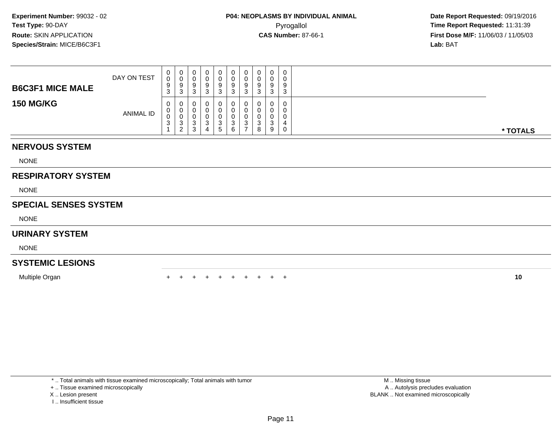| <b>B6C3F1 MICE MALE</b> | DAY ON TEST      | U<br>$\Omega$<br>9<br>J. | $\mathbf{0}$<br>ັ<br>3 | U<br>U<br>9<br>◠<br>J      | 0<br>9<br>ು                   | 0<br>0<br>9<br>3       | 0<br>9<br>ົ<br>◡ | ◡<br>- ა | 0<br>υ<br>9<br>ა      | 9<br>◡ | 0<br>0<br>9<br>3      |          |
|-------------------------|------------------|--------------------------|------------------------|----------------------------|-------------------------------|------------------------|------------------|----------|-----------------------|--------|-----------------------|----------|
| <b>150 MG/KG</b>        | <b>ANIMAL ID</b> | 0<br>v<br>ັບ             | 0<br>ັບ<br>2<br>∼      | U<br>U<br>U<br>N<br>◠<br>ت | 0<br>0<br>0<br><b>اب</b><br>4 | 0<br>0<br>0<br>3<br>b. | 0<br>⌒<br>ື<br>6 |          | υ<br>υ<br>u<br>ت<br>8 | U<br>9 | 0<br>C<br>0<br>4<br>0 | * TOTALS |

## **NERVOUS SYSTEM**

NONE

## **RESPIRATORY SYSTEM**

NONE

## **SPECIAL SENSES SYSTEM**

NONE

#### **URINARY SYSTEM**

NONE

## **SYSTEMIC LESIONS**

Multiple Organn  $+$ 

<sup>+</sup> <sup>+</sup> <sup>+</sup> <sup>+</sup> <sup>+</sup> <sup>+</sup> <sup>+</sup> <sup>+</sup> <sup>+</sup> **<sup>10</sup>**

\* .. Total animals with tissue examined microscopically; Total animals with tumor

+ .. Tissue examined microscopically

X .. Lesion present

I .. Insufficient tissue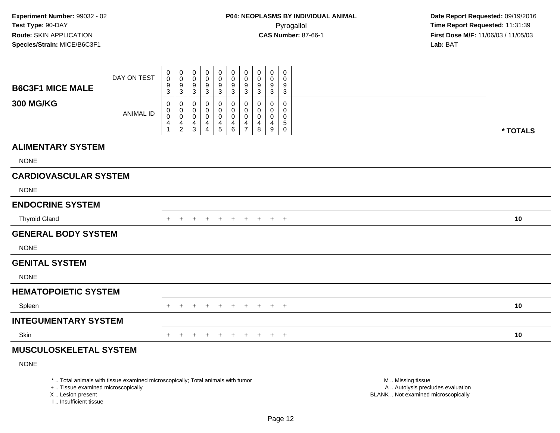| <b>B6C3F1 MICE MALE</b>                                 | DAY ON TEST                                                                     | 0<br>0<br>9<br>3                       | 0<br>$\pmb{0}$<br>$\frac{9}{3}$                    | 0<br>$\mathbf 0$<br>9<br>3                                      | 0<br>0<br>$\frac{9}{3}$                                | 0<br>$\mathbf 0$<br>$\frac{9}{3}$                                          | 0<br>$\mathsf{O}\xspace$<br>$\frac{9}{3}$                       | 0<br>$\pmb{0}$<br>9<br>$\mathbf{3}$              | 0<br>0<br>9<br>3                    | 0<br>0<br>9<br>3                                   | $\pmb{0}$<br>$\mathbf 0$<br>9<br>$\mathbf{3}$                       |                                                                                               |          |
|---------------------------------------------------------|---------------------------------------------------------------------------------|----------------------------------------|----------------------------------------------------|-----------------------------------------------------------------|--------------------------------------------------------|----------------------------------------------------------------------------|-----------------------------------------------------------------|--------------------------------------------------|-------------------------------------|----------------------------------------------------|---------------------------------------------------------------------|-----------------------------------------------------------------------------------------------|----------|
| <b>300 MG/KG</b>                                        | <b>ANIMAL ID</b>                                                                | $\Omega$<br>$\mathbf 0$<br>0<br>4<br>1 | 0<br>$\mathsf{O}$<br>$\mathsf{O}$<br>$\frac{4}{2}$ | 0<br>$\mathbf 0$<br>$\mathbf 0$<br>$\overline{4}$<br>$\sqrt{3}$ | 0<br>$\mathbf 0$<br>$\mathbf 0$<br>4<br>$\overline{4}$ | $\mathbf 0$<br>$\Omega$<br>$\mathbf 0$<br>$\overline{4}$<br>$\overline{5}$ | 0<br>$\mathbf 0$<br>$\mathbf 0$<br>$\overline{\mathbf{4}}$<br>6 | 0<br>$\mathbf 0$<br>$\mathbf 0$<br>$\frac{4}{7}$ | $\Omega$<br>$\Omega$<br>0<br>4<br>8 | $\Omega$<br>$\Omega$<br>0<br>4<br>$\boldsymbol{9}$ | $\mathbf 0$<br>$\Omega$<br>$\mathbf 0$<br>$\sqrt{5}$<br>$\mathbf 0$ |                                                                                               | * TOTALS |
| <b>ALIMENTARY SYSTEM</b>                                |                                                                                 |                                        |                                                    |                                                                 |                                                        |                                                                            |                                                                 |                                                  |                                     |                                                    |                                                                     |                                                                                               |          |
| <b>NONE</b>                                             |                                                                                 |                                        |                                                    |                                                                 |                                                        |                                                                            |                                                                 |                                                  |                                     |                                                    |                                                                     |                                                                                               |          |
| <b>CARDIOVASCULAR SYSTEM</b>                            |                                                                                 |                                        |                                                    |                                                                 |                                                        |                                                                            |                                                                 |                                                  |                                     |                                                    |                                                                     |                                                                                               |          |
| <b>NONE</b>                                             |                                                                                 |                                        |                                                    |                                                                 |                                                        |                                                                            |                                                                 |                                                  |                                     |                                                    |                                                                     |                                                                                               |          |
| <b>ENDOCRINE SYSTEM</b>                                 |                                                                                 |                                        |                                                    |                                                                 |                                                        |                                                                            |                                                                 |                                                  |                                     |                                                    |                                                                     |                                                                                               |          |
| <b>Thyroid Gland</b>                                    |                                                                                 | $+$                                    | $+$                                                | $+$                                                             |                                                        |                                                                            | + + + + +                                                       |                                                  |                                     |                                                    | $+$ $+$                                                             |                                                                                               | 10       |
| <b>GENERAL BODY SYSTEM</b>                              |                                                                                 |                                        |                                                    |                                                                 |                                                        |                                                                            |                                                                 |                                                  |                                     |                                                    |                                                                     |                                                                                               |          |
| <b>NONE</b>                                             |                                                                                 |                                        |                                                    |                                                                 |                                                        |                                                                            |                                                                 |                                                  |                                     |                                                    |                                                                     |                                                                                               |          |
| <b>GENITAL SYSTEM</b>                                   |                                                                                 |                                        |                                                    |                                                                 |                                                        |                                                                            |                                                                 |                                                  |                                     |                                                    |                                                                     |                                                                                               |          |
| <b>NONE</b>                                             |                                                                                 |                                        |                                                    |                                                                 |                                                        |                                                                            |                                                                 |                                                  |                                     |                                                    |                                                                     |                                                                                               |          |
| <b>HEMATOPOIETIC SYSTEM</b>                             |                                                                                 |                                        |                                                    |                                                                 |                                                        |                                                                            |                                                                 |                                                  |                                     |                                                    |                                                                     |                                                                                               |          |
| Spleen                                                  |                                                                                 | $\pm$                                  | $\pm$                                              | $\div$                                                          | $+$                                                    | $\pm$                                                                      | $+$                                                             | $+$                                              | $+$                                 | $+$ $-$                                            | $+$                                                                 |                                                                                               | 10       |
| <b>INTEGUMENTARY SYSTEM</b>                             |                                                                                 |                                        |                                                    |                                                                 |                                                        |                                                                            |                                                                 |                                                  |                                     |                                                    |                                                                     |                                                                                               |          |
| Skin                                                    |                                                                                 | $+$                                    | $+$                                                | $\ddot{}$                                                       | $+$                                                    | $+$                                                                        | $+$                                                             | $+$                                              | $+$                                 |                                                    | $+$ $+$                                                             |                                                                                               | 10       |
| <b>MUSCULOSKELETAL SYSTEM</b>                           |                                                                                 |                                        |                                                    |                                                                 |                                                        |                                                                            |                                                                 |                                                  |                                     |                                                    |                                                                     |                                                                                               |          |
| <b>NONE</b>                                             |                                                                                 |                                        |                                                    |                                                                 |                                                        |                                                                            |                                                                 |                                                  |                                     |                                                    |                                                                     |                                                                                               |          |
| +  Tissue examined microscopically<br>X  Lesion present | *  Total animals with tissue examined microscopically; Total animals with tumor |                                        |                                                    |                                                                 |                                                        |                                                                            |                                                                 |                                                  |                                     |                                                    |                                                                     | M  Missing tissue<br>A  Autolysis precludes evaluation<br>BLANK  Not examined microscopically |          |

I .. Insufficient tissue

Page 12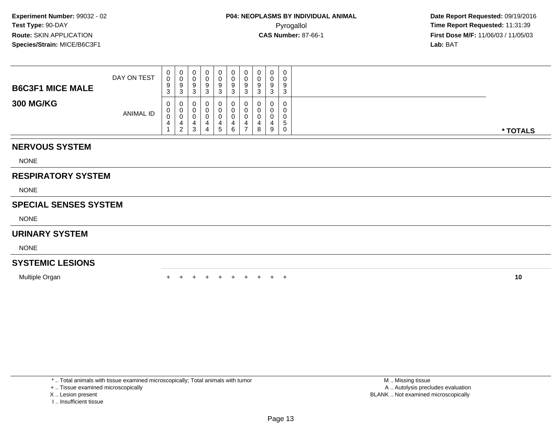| <b>B6C3F1 MICE MALE</b> | DAY ON TEST      | ◡<br>9  | U<br>u<br>9<br>ა       | 0<br>9<br>3      | 0<br>$\Omega$<br>- 0 | 0<br>υ<br>9<br>$\sqrt{2}$<br>◡ |   | - 11 | 0<br>U<br>9<br>- 0 | $\mathbf 0$<br>0<br>9<br>ು | 0<br>9<br>3      |          |
|-------------------------|------------------|---------|------------------------|------------------|----------------------|--------------------------------|---|------|--------------------|----------------------------|------------------|----------|
| <b>300 MG/KG</b>        | <b>ANIMAL ID</b> | v.<br>◡ | v<br>ν<br>ັບ<br>າ<br>▵ | O<br>O<br>υ<br>3 | 4                    | 0<br>0<br>v<br>G               | c |      | U<br>υ<br>υ<br>8   | 0<br>0<br>0<br>-9          | 0<br>O<br>э<br>0 | * TOTALS |

## **NERVOUS SYSTEM**

NONE

## **RESPIRATORY SYSTEM**

NONE

#### **SPECIAL SENSES SYSTEM**

NONE

#### **URINARY SYSTEM**

NONE

## **SYSTEMIC LESIONS**

Multiple Organn  $+$ 

<sup>+</sup> <sup>+</sup> <sup>+</sup> <sup>+</sup> <sup>+</sup> <sup>+</sup> <sup>+</sup> <sup>+</sup> <sup>+</sup> **<sup>10</sup>**

\* .. Total animals with tissue examined microscopically; Total animals with tumor

+ .. Tissue examined microscopically

X .. Lesion present

I .. Insufficient tissue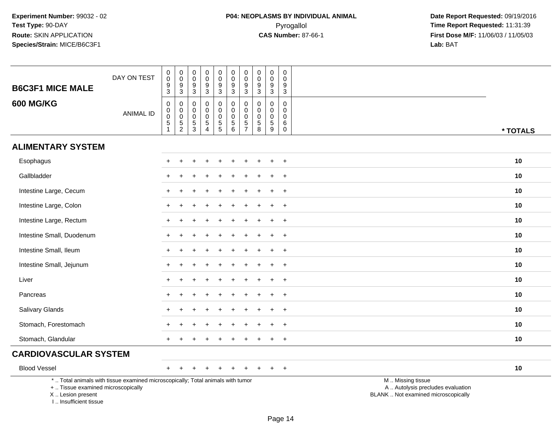| <b>B6C3F1 MICE MALE</b>                                                          | DAY ON TEST                                                                     | $\pmb{0}$<br>$\pmb{0}$<br>$\boldsymbol{9}$<br>3                                        | $\mathsf{O}\xspace$<br>$\mathbf 0$<br>$\frac{9}{3}$           | $\boldsymbol{0}$<br>$\mathbf 0$<br>$9\,$<br>3                              | $\mathsf 0$<br>$\mathbf 0$<br>$\boldsymbol{9}$<br>$\sqrt{3}$              | $\mathbf 0$<br>$\mathbf 0$<br>$\overline{9}$<br>3 | $\pmb{0}$<br>$\mathsf{O}\xspace$<br>$\overline{9}$<br>$\overline{3}$                        | $\pmb{0}$<br>$\mathbf 0$<br>$\boldsymbol{9}$<br>$\mathbf{3}$                  | $\mathsf{O}\xspace$<br>$\mathbf 0$<br>9<br>3              | $\pmb{0}$<br>$\mathbf 0$<br>$\boldsymbol{9}$<br>3            | $\mathbf 0$<br>$\mathbf 0$<br>9<br>3                       |                                                                                               |
|----------------------------------------------------------------------------------|---------------------------------------------------------------------------------|----------------------------------------------------------------------------------------|---------------------------------------------------------------|----------------------------------------------------------------------------|---------------------------------------------------------------------------|---------------------------------------------------|---------------------------------------------------------------------------------------------|-------------------------------------------------------------------------------|-----------------------------------------------------------|--------------------------------------------------------------|------------------------------------------------------------|-----------------------------------------------------------------------------------------------|
| <b>600 MG/KG</b>                                                                 | <b>ANIMAL ID</b>                                                                | $\boldsymbol{0}$<br>$\pmb{0}$<br>$\mathsf{O}\xspace$<br>$\overline{5}$<br>$\mathbf{1}$ | $\boldsymbol{0}$<br>$\pmb{0}$<br>$\mathbf 0$<br>$\frac{5}{2}$ | $\mathbf 0$<br>$\mathbf 0$<br>$\mathbf 0$<br>$\mathbf 5$<br>$\mathfrak{S}$ | $\mathbf 0$<br>$\mathbf 0$<br>$\mathbf 0$<br>$\sqrt{5}$<br>$\overline{4}$ | 0<br>$\mathbf 0$<br>$\mathbf 0$<br>$\overline{5}$ | $\pmb{0}$<br>$\mathsf{O}\xspace$<br>$\begin{array}{c} 0 \\ 5 \end{array}$<br>$6\phantom{1}$ | $\mathbf 0$<br>$\mathbf 0$<br>$\mathbf 0$<br>$\overline{5}$<br>$\overline{7}$ | $\Omega$<br>$\mathbf 0$<br>$\mathbf 0$<br>$\sqrt{5}$<br>8 | $\mathbf 0$<br>$\mathbf 0$<br>$\mathbf 0$<br>$\sqrt{5}$<br>9 | $\Omega$<br>$\mathbf 0$<br>$\mathbf 0$<br>6<br>$\mathbf 0$ | * TOTALS                                                                                      |
| <b>ALIMENTARY SYSTEM</b>                                                         |                                                                                 |                                                                                        |                                                               |                                                                            |                                                                           |                                                   |                                                                                             |                                                                               |                                                           |                                                              |                                                            |                                                                                               |
| Esophagus                                                                        |                                                                                 |                                                                                        |                                                               |                                                                            |                                                                           |                                                   |                                                                                             |                                                                               |                                                           |                                                              | $\overline{ }$                                             | 10                                                                                            |
| Gallbladder                                                                      |                                                                                 |                                                                                        |                                                               |                                                                            |                                                                           |                                                   |                                                                                             |                                                                               |                                                           |                                                              | $\overline{1}$                                             | 10                                                                                            |
| Intestine Large, Cecum                                                           |                                                                                 |                                                                                        |                                                               |                                                                            |                                                                           |                                                   |                                                                                             |                                                                               |                                                           |                                                              | $+$                                                        | 10                                                                                            |
| Intestine Large, Colon                                                           |                                                                                 |                                                                                        |                                                               |                                                                            |                                                                           |                                                   |                                                                                             |                                                                               |                                                           | ÷                                                            | $+$                                                        | 10                                                                                            |
| Intestine Large, Rectum                                                          |                                                                                 |                                                                                        |                                                               |                                                                            |                                                                           |                                                   |                                                                                             |                                                                               |                                                           |                                                              | $\ddot{}$                                                  | 10                                                                                            |
| Intestine Small, Duodenum                                                        |                                                                                 |                                                                                        |                                                               |                                                                            |                                                                           |                                                   |                                                                                             |                                                                               |                                                           |                                                              | $\ddot{}$                                                  | 10                                                                                            |
| Intestine Small, Ileum                                                           |                                                                                 |                                                                                        |                                                               |                                                                            |                                                                           |                                                   |                                                                                             |                                                                               |                                                           |                                                              | $\ddot{}$                                                  | 10                                                                                            |
| Intestine Small, Jejunum                                                         |                                                                                 |                                                                                        |                                                               |                                                                            |                                                                           |                                                   |                                                                                             |                                                                               |                                                           |                                                              | $\overline{ }$                                             | 10                                                                                            |
| Liver                                                                            |                                                                                 |                                                                                        |                                                               |                                                                            |                                                                           |                                                   |                                                                                             |                                                                               |                                                           |                                                              | $\overline{ }$                                             | 10                                                                                            |
| Pancreas                                                                         |                                                                                 | $\div$                                                                                 |                                                               |                                                                            |                                                                           |                                                   |                                                                                             |                                                                               |                                                           | $\ddot{}$                                                    | $+$                                                        | 10                                                                                            |
| Salivary Glands                                                                  |                                                                                 |                                                                                        |                                                               |                                                                            |                                                                           |                                                   |                                                                                             |                                                                               |                                                           |                                                              | $\ddot{}$                                                  | 10                                                                                            |
| Stomach, Forestomach                                                             |                                                                                 |                                                                                        |                                                               |                                                                            |                                                                           |                                                   |                                                                                             |                                                                               |                                                           |                                                              |                                                            | 10                                                                                            |
| Stomach, Glandular                                                               |                                                                                 | +                                                                                      |                                                               |                                                                            |                                                                           |                                                   |                                                                                             |                                                                               |                                                           |                                                              | $\ddot{}$                                                  | 10                                                                                            |
| <b>CARDIOVASCULAR SYSTEM</b>                                                     |                                                                                 |                                                                                        |                                                               |                                                                            |                                                                           |                                                   |                                                                                             |                                                                               |                                                           |                                                              |                                                            |                                                                                               |
| <b>Blood Vessel</b>                                                              |                                                                                 | $+$                                                                                    |                                                               |                                                                            |                                                                           | $\div$                                            |                                                                                             |                                                                               |                                                           | $\pm$                                                        | $+$                                                        | 10                                                                                            |
| +  Tissue examined microscopically<br>X  Lesion present<br>I Insufficient tissue | *  Total animals with tissue examined microscopically; Total animals with tumor |                                                                                        |                                                               |                                                                            |                                                                           |                                                   |                                                                                             |                                                                               |                                                           |                                                              |                                                            | M  Missing tissue<br>A  Autolysis precludes evaluation<br>BLANK  Not examined microscopically |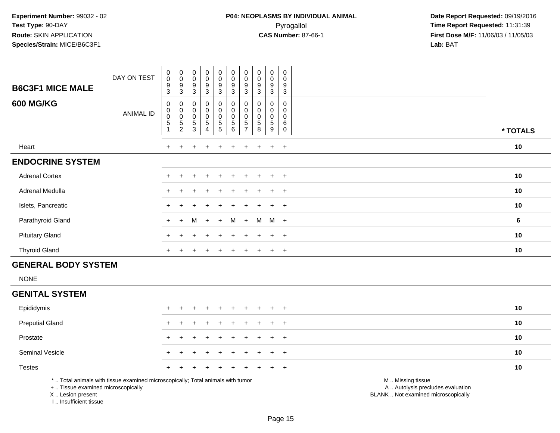| <b>B6C3F1 MICE MALE</b><br><b>600 MG/KG</b> | DAY ON TEST<br><b>ANIMAL ID</b> | $\begin{smallmatrix}0\0\0\end{smallmatrix}$<br>9<br>3<br>0<br>0<br>$\pmb{0}$ | $_{\rm 0}^{\rm 0}$<br>$\boldsymbol{9}$<br>$\ensuremath{\mathsf{3}}$<br>0<br>0005 | $_{\rm 0}^{\rm 0}$<br>$\boldsymbol{9}$<br>3<br>0<br>0<br>0<br>5<br>3 | $_{\rm 0}^{\rm 0}$<br>$\boldsymbol{9}$<br>$\mathbf{3}$<br>$\begin{matrix} 0 \\ 0 \\ 0 \\ 5 \end{matrix}$ | $\begin{smallmatrix} 0\\0 \end{smallmatrix}$<br>$9\,$<br>$\sqrt{3}$<br>0<br>0<br>5<br>5 | 0<br>$\pmb{0}$<br>9<br>3<br>0<br>0<br>$\pmb{0}$ | $\begin{smallmatrix}0\\0\end{smallmatrix}$<br>9<br>3 | $\begin{smallmatrix}0\0\0\end{smallmatrix}$<br>$\boldsymbol{9}$<br>3<br>0<br>$\pmb{0}$<br>$\mathsf 0$ | 0<br>0<br>9<br>3<br>0<br>0<br>0 | 0<br>$\boldsymbol{0}$<br>$9\,$<br>$\mathbf{3}$<br>0<br>$\mathbf 0$<br>$\pmb{0}$ |          |
|---------------------------------------------|---------------------------------|------------------------------------------------------------------------------|----------------------------------------------------------------------------------|----------------------------------------------------------------------|----------------------------------------------------------------------------------------------------------|-----------------------------------------------------------------------------------------|-------------------------------------------------|------------------------------------------------------|-------------------------------------------------------------------------------------------------------|---------------------------------|---------------------------------------------------------------------------------|----------|
|                                             |                                 | 5                                                                            |                                                                                  |                                                                      | $\overline{4}$                                                                                           |                                                                                         | 5<br>6                                          | 5                                                    | $\mathbf 5$<br>8                                                                                      | $\overline{5}$<br>9             | $\,6\,$<br>$\boldsymbol{0}$                                                     | * TOTALS |
| Heart                                       |                                 | $+$                                                                          | $+$                                                                              | $\div$                                                               | $+$                                                                                                      | $+$                                                                                     | $\pm$                                           | $+$                                                  | $+$                                                                                                   | $+$                             | $+$                                                                             | 10       |
| <b>ENDOCRINE SYSTEM</b>                     |                                 |                                                                              |                                                                                  |                                                                      |                                                                                                          |                                                                                         |                                                 |                                                      |                                                                                                       |                                 |                                                                                 |          |
| <b>Adrenal Cortex</b>                       |                                 | $\ddot{}$                                                                    |                                                                                  | $\pm$                                                                | $+$                                                                                                      | $\pm$                                                                                   | $\ddot{}$                                       | $+$                                                  | $+$                                                                                                   | $+$                             | $+$                                                                             | 10       |
| Adrenal Medulla                             |                                 | $\pm$                                                                        | $\pm$                                                                            | $\pm$                                                                | $+$                                                                                                      | $+$                                                                                     | $\pm$                                           | $+$                                                  | $+$                                                                                                   | $+$                             | $+$                                                                             | 10       |
| Islets, Pancreatic                          |                                 | $\pm$                                                                        |                                                                                  |                                                                      | $+$                                                                                                      |                                                                                         | ÷                                               |                                                      | $\pm$                                                                                                 | $+$                             | $+$                                                                             | 10       |
| Parathyroid Gland                           |                                 | $+$                                                                          | $+$                                                                              | M                                                                    | $+$                                                                                                      | $+$                                                                                     | M                                               | $+$                                                  | M                                                                                                     | $M +$                           |                                                                                 | 6        |
| <b>Pituitary Gland</b>                      |                                 | $+$                                                                          |                                                                                  | ÷                                                                    | $+$                                                                                                      | $+$                                                                                     | ÷                                               |                                                      | $\ddot{}$                                                                                             | $+$                             | $+$                                                                             | 10       |
| <b>Thyroid Gland</b>                        |                                 | $\ddot{}$                                                                    |                                                                                  |                                                                      | $\div$                                                                                                   |                                                                                         |                                                 |                                                      | $\div$                                                                                                | $\pm$                           | $+$                                                                             | 10       |

## **GENERAL BODY SYSTEM**

NONE

#### **GENITAL SYSTEM**

| <b>Preputial Gland</b><br>10<br>+ + + + + + + + + +<br>Prostate<br>10<br>+ + + + + + + + + +<br><b>Seminal Vesicle</b><br>10<br>+ + + + + + + + + +<br><b>Testes</b><br>10<br>+ + + + + + + + + + | Epididymis |  | + + + + + + + + + + |  |  |  | 10 |
|---------------------------------------------------------------------------------------------------------------------------------------------------------------------------------------------------|------------|--|---------------------|--|--|--|----|
|                                                                                                                                                                                                   |            |  |                     |  |  |  |    |
|                                                                                                                                                                                                   |            |  |                     |  |  |  |    |
|                                                                                                                                                                                                   |            |  |                     |  |  |  |    |
|                                                                                                                                                                                                   |            |  |                     |  |  |  |    |

\* .. Total animals with tissue examined microscopically; Total animals with tumor

+ .. Tissue examined microscopically

X .. Lesion present

I .. Insufficient tissue

M .. Missing tissue

y the contract of the contract of the contract of the contract of the contract of the contract of the contract of  $A$ . Autolysis precludes evaluation

Lesion present BLANK .. Not examined microscopically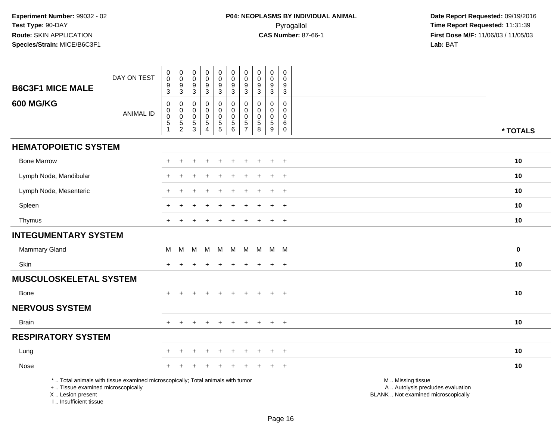| <b>B6C3F1 MICE MALE</b>                                                          | DAY ON TEST                                                                     | $\pmb{0}$<br>$\pmb{0}$<br>$\boldsymbol{9}$<br>3 | $\mathsf 0$<br>$\overline{0}$<br>$\frac{9}{3}$    | $\pmb{0}$<br>$\mathbf 0$<br>$\boldsymbol{9}$<br>$\sqrt{3}$ | $\pmb{0}$<br>$\ddot{\mathbf{0}}$<br>$\boldsymbol{9}$<br>$\mathbf{3}$     | $\pmb{0}$<br>$\pmb{0}$<br>$\boldsymbol{9}$<br>3        | $\pmb{0}$<br>$\pmb{0}$<br>$\boldsymbol{9}$<br>3                       | 0<br>$\mathbf 0$<br>$\boldsymbol{9}$<br>3              | $\mathbf 0$<br>$\mathbf 0$<br>$\boldsymbol{9}$<br>$\mathbf{3}$ | $\pmb{0}$<br>$\pmb{0}$<br>$\boldsymbol{9}$<br>3 | $\pmb{0}$<br>$\mathbf 0$<br>$\boldsymbol{9}$<br>$\mathbf{3}$ |                                                                                               |          |
|----------------------------------------------------------------------------------|---------------------------------------------------------------------------------|-------------------------------------------------|---------------------------------------------------|------------------------------------------------------------|--------------------------------------------------------------------------|--------------------------------------------------------|-----------------------------------------------------------------------|--------------------------------------------------------|----------------------------------------------------------------|-------------------------------------------------|--------------------------------------------------------------|-----------------------------------------------------------------------------------------------|----------|
| <b>600 MG/KG</b>                                                                 | <b>ANIMAL ID</b>                                                                | $\mathbf 0$<br>0<br>0<br>5<br>$\mathbf{1}$      | 0<br>$\mathsf{O}$<br>$\mathbf 0$<br>$\frac{5}{2}$ | $\mathbf 0$<br>$\pmb{0}$<br>$\pmb{0}$<br>$\frac{5}{3}$     | $\mathbf 0$<br>$\mathbf 0$<br>$\pmb{0}$<br>$\mathbf 5$<br>$\overline{4}$ | 0<br>$\mathsf{O}\xspace$<br>$\pmb{0}$<br>$\frac{5}{5}$ | $\mathbf 0$<br>$\mathsf{O}\xspace$<br>$\mathbf 0$<br>$\,$ 5 $\,$<br>6 | $\mathbf 0$<br>0<br>$\mathbf 0$<br>5<br>$\overline{7}$ | $\Omega$<br>$\Omega$<br>$\mathbf 0$<br>5<br>8                  | $\mathbf 0$<br>0<br>$\pmb{0}$<br>$\frac{5}{9}$  | $\mathbf 0$<br>0<br>$\mathbf 0$<br>$\,6\,$<br>$\mathbf 0$    |                                                                                               | * TOTALS |
| <b>HEMATOPOIETIC SYSTEM</b>                                                      |                                                                                 |                                                 |                                                   |                                                            |                                                                          |                                                        |                                                                       |                                                        |                                                                |                                                 |                                                              |                                                                                               |          |
| <b>Bone Marrow</b>                                                               |                                                                                 |                                                 |                                                   |                                                            |                                                                          |                                                        |                                                                       |                                                        |                                                                |                                                 | $\overline{1}$                                               |                                                                                               | 10       |
| Lymph Node, Mandibular                                                           |                                                                                 |                                                 |                                                   |                                                            |                                                                          |                                                        |                                                                       |                                                        |                                                                |                                                 | $\ddot{}$                                                    |                                                                                               | 10       |
| Lymph Node, Mesenteric                                                           |                                                                                 |                                                 |                                                   |                                                            |                                                                          |                                                        |                                                                       |                                                        |                                                                |                                                 | $\overline{+}$                                               |                                                                                               | 10       |
| Spleen                                                                           |                                                                                 |                                                 |                                                   |                                                            |                                                                          |                                                        |                                                                       |                                                        |                                                                | $\div$                                          | $+$                                                          |                                                                                               | 10       |
| Thymus                                                                           |                                                                                 |                                                 |                                                   |                                                            |                                                                          |                                                        |                                                                       |                                                        |                                                                | ÷                                               | $\overline{+}$                                               |                                                                                               | 10       |
| <b>INTEGUMENTARY SYSTEM</b>                                                      |                                                                                 |                                                 |                                                   |                                                            |                                                                          |                                                        |                                                                       |                                                        |                                                                |                                                 |                                                              |                                                                                               |          |
| Mammary Gland                                                                    |                                                                                 | M                                               | M                                                 |                                                            | M M                                                                      | $M_{\odot}$                                            | M                                                                     | M                                                      | M                                                              | M M                                             |                                                              |                                                                                               | $\bf{0}$ |
| Skin                                                                             |                                                                                 |                                                 |                                                   |                                                            |                                                                          |                                                        |                                                                       | ÷                                                      |                                                                | $\ddot{}$                                       | $+$                                                          |                                                                                               | 10       |
| <b>MUSCULOSKELETAL SYSTEM</b>                                                    |                                                                                 |                                                 |                                                   |                                                            |                                                                          |                                                        |                                                                       |                                                        |                                                                |                                                 |                                                              |                                                                                               |          |
| Bone                                                                             |                                                                                 |                                                 |                                                   |                                                            |                                                                          |                                                        |                                                                       |                                                        |                                                                | $\ddot{}$                                       | $\overline{+}$                                               |                                                                                               | 10       |
| <b>NERVOUS SYSTEM</b>                                                            |                                                                                 |                                                 |                                                   |                                                            |                                                                          |                                                        |                                                                       |                                                        |                                                                |                                                 |                                                              |                                                                                               |          |
| <b>Brain</b>                                                                     |                                                                                 | $+$                                             | $\pm$                                             | $\pm$                                                      | $+$                                                                      | $+$                                                    | $\pm$                                                                 | $\pm$                                                  | $+$                                                            | $+$                                             | $+$                                                          |                                                                                               | 10       |
| <b>RESPIRATORY SYSTEM</b>                                                        |                                                                                 |                                                 |                                                   |                                                            |                                                                          |                                                        |                                                                       |                                                        |                                                                |                                                 |                                                              |                                                                                               |          |
| Lung                                                                             |                                                                                 |                                                 |                                                   |                                                            |                                                                          |                                                        |                                                                       |                                                        |                                                                |                                                 | $\overline{ }$                                               |                                                                                               | 10       |
| Nose                                                                             |                                                                                 |                                                 |                                                   |                                                            |                                                                          |                                                        |                                                                       |                                                        |                                                                |                                                 | $\ddot{}$                                                    |                                                                                               | 10       |
| +  Tissue examined microscopically<br>X  Lesion present<br>I Insufficient tissue | *  Total animals with tissue examined microscopically; Total animals with tumor |                                                 |                                                   |                                                            |                                                                          |                                                        |                                                                       |                                                        |                                                                |                                                 |                                                              | M  Missing tissue<br>A  Autolysis precludes evaluation<br>BLANK  Not examined microscopically |          |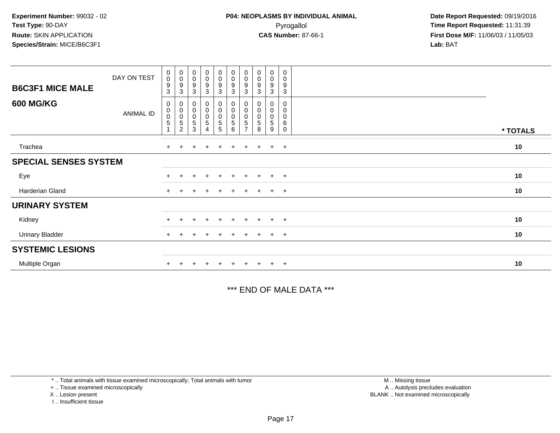| <b>B6C3F1 MICE MALE</b>      | DAY ON TEST      | $\pmb{0}$<br>$\mathbf 0$<br>$\boldsymbol{9}$<br>3 | $\begin{array}{c} 0 \\ 0 \\ 9 \\ 3 \end{array}$                  | $\begin{smallmatrix}0\0\0\9\end{smallmatrix}$<br>$\sqrt{3}$ | $\begin{smallmatrix}0\0\0\end{smallmatrix}$<br>9<br>3 | $_{\rm 0}^{\rm 0}$<br>$\boldsymbol{9}$<br>$\sqrt{3}$                 | $\begin{array}{c} 0 \\ 0 \\ 9 \\ 3 \end{array}$                   | $\begin{smallmatrix} 0\\0 \end{smallmatrix}$<br>9<br>3 | $\begin{smallmatrix}0\\0\\9\end{smallmatrix}$<br>$\sqrt{3}$ | $_{\rm 0}^{\rm 0}$<br>$\boldsymbol{9}$<br>$\mathbf{3}$ | 0<br>0<br>9<br>3                |          |
|------------------------------|------------------|---------------------------------------------------|------------------------------------------------------------------|-------------------------------------------------------------|-------------------------------------------------------|----------------------------------------------------------------------|-------------------------------------------------------------------|--------------------------------------------------------|-------------------------------------------------------------|--------------------------------------------------------|---------------------------------|----------|
| <b>600 MG/KG</b>             | <b>ANIMAL ID</b> | 0<br>$\pmb{0}$<br>$\pmb{0}$<br>$\overline{5}$     | $\begin{matrix} 0 \\ 0 \\ 0 \\ 5 \end{matrix}$<br>$\overline{2}$ | $\pmb{0}$<br>$\begin{matrix} 0 \\ 0 \\ 5 \end{matrix}$<br>3 | 0<br>0<br>$\mathsf 0$<br>5<br>4                       | $\begin{smallmatrix}0\0\0\end{smallmatrix}$<br>$\mathsf 0$<br>5<br>5 | $\begin{matrix} 0 \\ 0 \\ 0 \\ 5 \end{matrix}$<br>$6\phantom{1}6$ | 0<br>0<br>5<br>⇁                                       | 0<br>$\pmb{0}$<br>$\pmb{0}$<br>5<br>8                       | 0<br>$\pmb{0}$<br>0<br>$\,$ 5 $\,$<br>9                | 0<br>0<br>$\mathbf 0$<br>6<br>0 | * TOTALS |
| Trachea                      |                  | $+$                                               |                                                                  | $\ddot{}$                                                   | $\div$                                                | $\pm$                                                                | $+$                                                               | $+$                                                    |                                                             | $+$                                                    | $+$                             | 10       |
| <b>SPECIAL SENSES SYSTEM</b> |                  |                                                   |                                                                  |                                                             |                                                       |                                                                      |                                                                   |                                                        |                                                             |                                                        |                                 |          |
| Eye                          |                  |                                                   |                                                                  | $\div$                                                      | $\ddot{}$                                             | $+$                                                                  | $+$                                                               | $+$                                                    | $+$                                                         | $+$                                                    | $+$                             | 10       |
| Harderian Gland              |                  | $+$                                               |                                                                  |                                                             |                                                       |                                                                      | $\div$                                                            | ÷.                                                     |                                                             | $\pm$                                                  | $+$                             | 10       |
| <b>URINARY SYSTEM</b>        |                  |                                                   |                                                                  |                                                             |                                                       |                                                                      |                                                                   |                                                        |                                                             |                                                        |                                 |          |
| Kidney                       |                  | $+$                                               |                                                                  | $\ddot{}$                                                   | $\ddot{}$                                             | $+$                                                                  | $+$                                                               | $+$                                                    | $+$                                                         | $+$                                                    | $+$                             | 10       |
| <b>Urinary Bladder</b>       |                  | $+$                                               |                                                                  |                                                             |                                                       |                                                                      | $+$                                                               | ÷.                                                     |                                                             | $+$                                                    | $+$                             | 10       |
| <b>SYSTEMIC LESIONS</b>      |                  |                                                   |                                                                  |                                                             |                                                       |                                                                      |                                                                   |                                                        |                                                             |                                                        |                                 |          |
| Multiple Organ               |                  |                                                   |                                                                  |                                                             |                                                       |                                                                      |                                                                   |                                                        |                                                             | $\pm$                                                  | $^{+}$                          | 10       |

\*\*\* END OF MALE DATA \*\*\*

\* .. Total animals with tissue examined microscopically; Total animals with tumor

+ .. Tissue examined microscopically

X .. Lesion present

I .. Insufficient tissue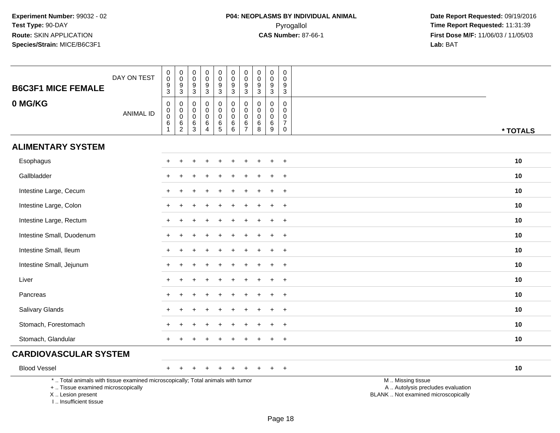| <b>B6C3F1 MICE FEMALE</b>                                                                                                                                          | DAY ON TEST      | $\,0\,$<br>$\pmb{0}$<br>$\frac{9}{3}$                              | $\boldsymbol{0}$<br>$\mathsf{O}\xspace$<br>$\frac{9}{3}$                | 0<br>0<br>9<br>3                              | $\pmb{0}$<br>$\pmb{0}$<br>9<br>$\mathbf{3}$                      | $\pmb{0}$<br>$\mathbf 0$<br>$\overline{9}$<br>$\mathbf{3}$ | $\mathsf 0$<br>$\mathbf 0$<br>$9\,$<br>3                                  | $\pmb{0}$<br>$\mathsf{O}\xspace$<br>$\boldsymbol{9}$<br>$\mathfrak{Z}$ | $\pmb{0}$<br>$\mathbf 0$<br>$\boldsymbol{9}$<br>$\sqrt{3}$     | $\mathbf 0$<br>$\mathbf 0$<br>$\boldsymbol{9}$<br>$\mathbf{3}$ | $\pmb{0}$<br>$\mathbf 0$<br>9<br>$\mathbf{3}$           |                                                                                               |
|--------------------------------------------------------------------------------------------------------------------------------------------------------------------|------------------|--------------------------------------------------------------------|-------------------------------------------------------------------------|-----------------------------------------------|------------------------------------------------------------------|------------------------------------------------------------|---------------------------------------------------------------------------|------------------------------------------------------------------------|----------------------------------------------------------------|----------------------------------------------------------------|---------------------------------------------------------|-----------------------------------------------------------------------------------------------|
| 0 MG/KG                                                                                                                                                            | <b>ANIMAL ID</b> | $\pmb{0}$<br>$\pmb{0}$<br>$\ddot{\mathbf{0}}$<br>6<br>$\mathbf{1}$ | $\pmb{0}$<br>$\mathbf 0$<br>$\overline{0}$<br>$\,6\,$<br>$\overline{2}$ | 0<br>$\mathbf 0$<br>$\mathbf 0$<br>$\,6$<br>3 | $\pmb{0}$<br>$\mathbf 0$<br>$\pmb{0}$<br>$\,6$<br>$\overline{4}$ | $\mathbf 0$<br>0<br>$\mathsf 0$<br>6<br>$\overline{5}$     | $\mathsf 0$<br>$\mathbf 0$<br>$\mathsf{O}\xspace$<br>6<br>$6\overline{6}$ | $\pmb{0}$<br>$\pmb{0}$<br>$\pmb{0}$<br>6<br>$\overline{7}$             | $\mathbf 0$<br>$\mathbf 0$<br>$\pmb{0}$<br>6<br>$\overline{8}$ | $\mathbf 0$<br>$\mathbf 0$<br>$\mathbf 0$<br>$\,6$<br>9        | 0<br>0<br>$\mathsf{O}$<br>$\overline{7}$<br>$\mathbf 0$ | * TOTALS                                                                                      |
| <b>ALIMENTARY SYSTEM</b>                                                                                                                                           |                  |                                                                    |                                                                         |                                               |                                                                  |                                                            |                                                                           |                                                                        |                                                                |                                                                |                                                         |                                                                                               |
| Esophagus                                                                                                                                                          |                  |                                                                    |                                                                         |                                               |                                                                  |                                                            |                                                                           |                                                                        |                                                                |                                                                | $\ddot{}$                                               | 10                                                                                            |
| Gallbladder                                                                                                                                                        |                  |                                                                    |                                                                         |                                               |                                                                  |                                                            |                                                                           |                                                                        |                                                                |                                                                | $\ddot{}$                                               | 10                                                                                            |
| Intestine Large, Cecum                                                                                                                                             |                  |                                                                    |                                                                         |                                               |                                                                  |                                                            |                                                                           |                                                                        |                                                                |                                                                | $\overline{+}$                                          | 10                                                                                            |
| Intestine Large, Colon                                                                                                                                             |                  |                                                                    |                                                                         |                                               |                                                                  |                                                            |                                                                           |                                                                        |                                                                |                                                                | $\overline{+}$                                          | 10                                                                                            |
| Intestine Large, Rectum                                                                                                                                            |                  |                                                                    |                                                                         |                                               |                                                                  |                                                            |                                                                           |                                                                        |                                                                |                                                                | $\ddot{}$                                               | 10                                                                                            |
| Intestine Small, Duodenum                                                                                                                                          |                  |                                                                    |                                                                         |                                               |                                                                  |                                                            |                                                                           |                                                                        |                                                                |                                                                | $\ddot{}$                                               | 10                                                                                            |
| Intestine Small, Ileum                                                                                                                                             |                  | $+$                                                                |                                                                         |                                               |                                                                  |                                                            |                                                                           |                                                                        |                                                                | ÷                                                              | $+$                                                     | 10                                                                                            |
| Intestine Small, Jejunum                                                                                                                                           |                  |                                                                    |                                                                         |                                               |                                                                  |                                                            |                                                                           |                                                                        |                                                                |                                                                | $\ddot{}$                                               | 10                                                                                            |
| Liver                                                                                                                                                              |                  |                                                                    |                                                                         |                                               |                                                                  |                                                            |                                                                           |                                                                        |                                                                |                                                                | $\ddot{}$                                               | 10                                                                                            |
| Pancreas                                                                                                                                                           |                  | $\ddot{}$                                                          |                                                                         |                                               |                                                                  |                                                            |                                                                           |                                                                        |                                                                | ÷                                                              | $+$                                                     | 10                                                                                            |
| Salivary Glands                                                                                                                                                    |                  |                                                                    |                                                                         |                                               |                                                                  |                                                            |                                                                           |                                                                        |                                                                |                                                                | $\ddot{}$                                               | 10                                                                                            |
| Stomach, Forestomach                                                                                                                                               |                  |                                                                    |                                                                         |                                               |                                                                  |                                                            |                                                                           |                                                                        |                                                                |                                                                | $\div$                                                  | 10                                                                                            |
| Stomach, Glandular                                                                                                                                                 |                  | $+$                                                                |                                                                         |                                               |                                                                  |                                                            |                                                                           |                                                                        |                                                                | ÷                                                              | $\overline{+}$                                          | 10                                                                                            |
| <b>CARDIOVASCULAR SYSTEM</b>                                                                                                                                       |                  |                                                                    |                                                                         |                                               |                                                                  |                                                            |                                                                           |                                                                        |                                                                |                                                                |                                                         |                                                                                               |
| <b>Blood Vessel</b>                                                                                                                                                |                  | $+$                                                                | $\div$                                                                  | $\div$                                        |                                                                  | $\pm$                                                      | $\ddot{}$                                                                 | $\pm$                                                                  | $\pm$                                                          | $\pm$                                                          | $+$                                                     | 10                                                                                            |
| *  Total animals with tissue examined microscopically; Total animals with tumor<br>+  Tissue examined microscopically<br>X Lesion present<br>I Insufficient tissue |                  |                                                                    |                                                                         |                                               |                                                                  |                                                            |                                                                           |                                                                        |                                                                |                                                                |                                                         | M  Missing tissue<br>A  Autolysis precludes evaluation<br>BLANK  Not examined microscopically |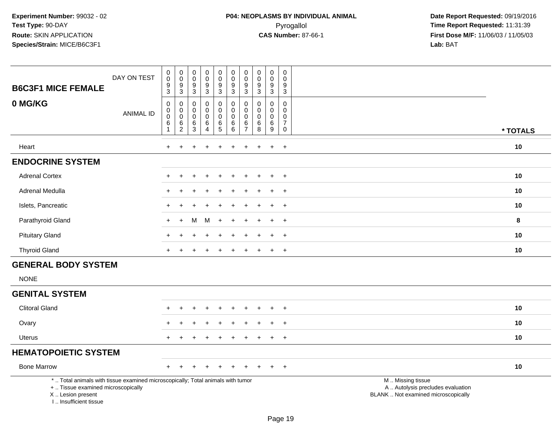| <b>B6C3F1 MICE FEMALE</b>                                                                                                                                           | DAY ON TEST      | $\pmb{0}$<br>$\mathbf 0$<br>$\boldsymbol{9}$<br>$\mathsf 3$           | $\pmb{0}$<br>$\pmb{0}$<br>$\boldsymbol{9}$<br>$\sqrt{3}$ | 0<br>$\mathbf 0$<br>9<br>$\sqrt{3}$          | $\pmb{0}$<br>$\pmb{0}$<br>$\boldsymbol{9}$<br>$\sqrt{3}$ | $\pmb{0}$<br>$\pmb{0}$<br>$\boldsymbol{9}$<br>$\overline{3}$ | $\pmb{0}$<br>$\mathsf 0$<br>$\boldsymbol{9}$<br>$\mathsf 3$ | 0<br>$\mathbf 0$<br>9<br>3                             | $\mathbf 0$<br>$\mathsf{O}\xspace$<br>$\boldsymbol{9}$<br>$\sqrt{3}$ | $\pmb{0}$<br>$\pmb{0}$<br>$\boldsymbol{9}$<br>$\sqrt{3}$ | $\mathbf 0$<br>$\mathbf 0$<br>9<br>$\mathbf{3}$     |                                                                                               |          |
|---------------------------------------------------------------------------------------------------------------------------------------------------------------------|------------------|-----------------------------------------------------------------------|----------------------------------------------------------|----------------------------------------------|----------------------------------------------------------|--------------------------------------------------------------|-------------------------------------------------------------|--------------------------------------------------------|----------------------------------------------------------------------|----------------------------------------------------------|-----------------------------------------------------|-----------------------------------------------------------------------------------------------|----------|
| 0 MG/KG                                                                                                                                                             | <b>ANIMAL ID</b> | $\mathbf 0$<br>$\pmb{0}$<br>$\overline{0}$<br>$\,6\,$<br>$\mathbf{1}$ | 0<br>$\pmb{0}$<br>$\overline{0}$<br>$\frac{6}{2}$        | 0<br>0<br>$\mathbf 0$<br>6<br>$\overline{3}$ | 0<br>$\mathbf 0$<br>$\pmb{0}$<br>$\,6$<br>$\overline{4}$ | $\mathbf 0$<br>$\mathbf 0$<br>$\overline{0}$<br>$^6$ 5       | 0<br>$\mathbf 0$<br>$\pmb{0}$<br>$\,6$<br>6                 | 0<br>$\mathbf 0$<br>$\mathbf 0$<br>6<br>$\overline{7}$ | 0<br>$\Omega$<br>0<br>$\,6$<br>$\overline{8}$                        | 0<br>0<br>$\pmb{0}$<br>$^6_9$                            | 0<br>$\Omega$<br>$\mathbf 0$<br>$\overline{7}$<br>0 |                                                                                               | * TOTALS |
| Heart                                                                                                                                                               |                  | $+$                                                                   | $\ddot{}$                                                |                                              | $\div$                                                   | $\div$                                                       | $\div$                                                      | $\ddot{}$                                              |                                                                      | $\ddot{}$                                                | $+$                                                 |                                                                                               | 10       |
| <b>ENDOCRINE SYSTEM</b>                                                                                                                                             |                  |                                                                       |                                                          |                                              |                                                          |                                                              |                                                             |                                                        |                                                                      |                                                          |                                                     |                                                                                               |          |
| <b>Adrenal Cortex</b>                                                                                                                                               |                  |                                                                       |                                                          |                                              |                                                          |                                                              |                                                             |                                                        |                                                                      |                                                          | $\ddot{}$                                           |                                                                                               | 10       |
| Adrenal Medulla                                                                                                                                                     |                  |                                                                       |                                                          |                                              |                                                          |                                                              |                                                             |                                                        |                                                                      |                                                          | $\ddot{}$                                           |                                                                                               | 10       |
| Islets, Pancreatic                                                                                                                                                  |                  |                                                                       |                                                          |                                              |                                                          |                                                              |                                                             |                                                        |                                                                      | $\ddot{}$                                                | $+$                                                 |                                                                                               | 10       |
| Parathyroid Gland                                                                                                                                                   |                  |                                                                       |                                                          | м                                            | м                                                        |                                                              |                                                             |                                                        |                                                                      |                                                          | $\ddot{}$                                           |                                                                                               | 8        |
| <b>Pituitary Gland</b>                                                                                                                                              |                  |                                                                       |                                                          |                                              |                                                          |                                                              |                                                             |                                                        |                                                                      |                                                          | $\pm$                                               |                                                                                               | 10       |
| <b>Thyroid Gland</b>                                                                                                                                                |                  | $\pm$                                                                 | $\div$                                                   |                                              | $\div$                                                   | +                                                            |                                                             |                                                        |                                                                      | $\ddot{}$                                                | $+$                                                 |                                                                                               | 10       |
| <b>GENERAL BODY SYSTEM</b>                                                                                                                                          |                  |                                                                       |                                                          |                                              |                                                          |                                                              |                                                             |                                                        |                                                                      |                                                          |                                                     |                                                                                               |          |
| <b>NONE</b>                                                                                                                                                         |                  |                                                                       |                                                          |                                              |                                                          |                                                              |                                                             |                                                        |                                                                      |                                                          |                                                     |                                                                                               |          |
| <b>GENITAL SYSTEM</b>                                                                                                                                               |                  |                                                                       |                                                          |                                              |                                                          |                                                              |                                                             |                                                        |                                                                      |                                                          |                                                     |                                                                                               |          |
| <b>Clitoral Gland</b>                                                                                                                                               |                  |                                                                       |                                                          |                                              |                                                          |                                                              |                                                             |                                                        |                                                                      |                                                          | $\overline{1}$                                      |                                                                                               | 10       |
| Ovary                                                                                                                                                               |                  |                                                                       |                                                          |                                              |                                                          |                                                              |                                                             |                                                        |                                                                      |                                                          | $\ddot{}$                                           |                                                                                               | 10       |
| <b>Uterus</b>                                                                                                                                                       |                  |                                                                       |                                                          |                                              |                                                          |                                                              |                                                             |                                                        |                                                                      |                                                          | $+$                                                 |                                                                                               | 10       |
| <b>HEMATOPOIETIC SYSTEM</b>                                                                                                                                         |                  |                                                                       |                                                          |                                              |                                                          |                                                              |                                                             |                                                        |                                                                      |                                                          |                                                     |                                                                                               |          |
| <b>Bone Marrow</b>                                                                                                                                                  |                  | $\pm$                                                                 |                                                          |                                              | $\div$                                                   |                                                              |                                                             |                                                        |                                                                      | $\mathbf +$                                              | $+$                                                 |                                                                                               | 10       |
| *  Total animals with tissue examined microscopically; Total animals with tumor<br>+  Tissue examined microscopically<br>X  Lesion present<br>I Insufficient tissue |                  |                                                                       |                                                          |                                              |                                                          |                                                              |                                                             |                                                        |                                                                      |                                                          |                                                     | M  Missing tissue<br>A  Autolysis precludes evaluation<br>BLANK  Not examined microscopically |          |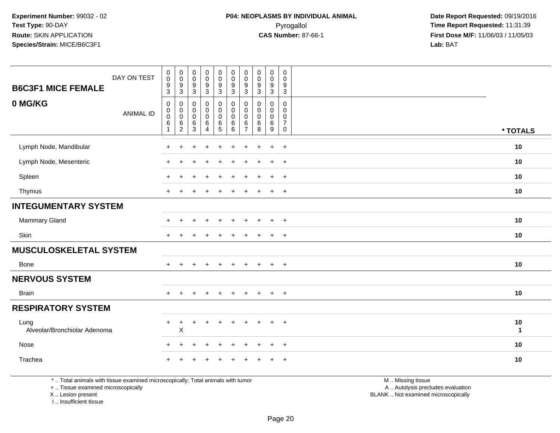| <b>B6C3F1 MICE FEMALE</b>            | DAY ON TEST      | $\begin{smallmatrix}0\\0\end{smallmatrix}$<br>$\boldsymbol{9}$<br>$\mathbf{3}$ | $\begin{smallmatrix} 0\\0 \end{smallmatrix}$<br>$\boldsymbol{9}$<br>3 | $_{\rm 0}^{\rm 0}$<br>$\boldsymbol{9}$<br>$\overline{3}$ | $\begin{smallmatrix} 0\\0 \end{smallmatrix}$<br>$\boldsymbol{9}$<br>$\overline{3}$ | $\mathbf 0$<br>$\mathbf 0$<br>9<br>3                      | $_{\rm 0}^{\rm 0}$<br>$\boldsymbol{9}$<br>$\mathbf 3$     | $\pmb{0}$<br>$\mathbf 0$<br>$9\,$<br>$\sqrt{3}$   | $\begin{smallmatrix} 0\\0 \end{smallmatrix}$<br>$\boldsymbol{9}$<br>$\overline{3}$ | $\begin{smallmatrix}0\0\0\end{smallmatrix}$<br>9<br>$\overline{3}$ | $\mathsf{O}$<br>$\mathbf 0$<br>9<br>$\mathbf{3}$        |                    |
|--------------------------------------|------------------|--------------------------------------------------------------------------------|-----------------------------------------------------------------------|----------------------------------------------------------|------------------------------------------------------------------------------------|-----------------------------------------------------------|-----------------------------------------------------------|---------------------------------------------------|------------------------------------------------------------------------------------|--------------------------------------------------------------------|---------------------------------------------------------|--------------------|
| 0 MG/KG                              | <b>ANIMAL ID</b> | $\mathbf 0$<br>$\boldsymbol{0}$<br>$\mathsf 0$<br>$\,6\,$<br>$\mathbf{1}$      | 0<br>$\pmb{0}$<br>$\boldsymbol{0}$<br>6<br>$\overline{c}$             | $\pmb{0}$<br>$\pmb{0}$<br>$\pmb{0}$<br>6<br>3            | $\pmb{0}$<br>$\pmb{0}$<br>$\pmb{0}$<br>6<br>$\overline{4}$                         | $\mathbf 0$<br>$\mathbf 0$<br>$\mathbf 0$<br>$\,6\,$<br>5 | $\mathbf 0$<br>$\mathbf 0$<br>$\mathbf 0$<br>$\,6\,$<br>6 | 0<br>$\pmb{0}$<br>$\Omega$<br>6<br>$\overline{7}$ | $\mathbf 0$<br>$\pmb{0}$<br>$\pmb{0}$<br>6<br>8                                    | 0<br>$\mathbf 0$<br>$\mathbf 0$<br>6<br>9                          | 0<br>$\mathbf 0$<br>0<br>$\overline{7}$<br>$\mathsf{O}$ | * TOTALS           |
| Lymph Node, Mandibular               |                  | $\div$                                                                         | ÷                                                                     |                                                          |                                                                                    |                                                           |                                                           | +                                                 |                                                                                    | $\ddot{}$                                                          | $\overline{+}$                                          | 10                 |
| Lymph Node, Mesenteric               |                  | +                                                                              |                                                                       |                                                          |                                                                                    |                                                           |                                                           |                                                   |                                                                                    | $\ddot{}$                                                          | $+$                                                     | 10                 |
| Spleen                               |                  |                                                                                |                                                                       |                                                          |                                                                                    |                                                           |                                                           |                                                   |                                                                                    | $\ddot{}$                                                          | $\overline{+}$                                          | 10                 |
| Thymus                               |                  | $\ddot{}$                                                                      |                                                                       |                                                          | ÷                                                                                  |                                                           |                                                           |                                                   |                                                                                    | $\ddot{}$                                                          | $+$                                                     | 10                 |
| <b>INTEGUMENTARY SYSTEM</b>          |                  |                                                                                |                                                                       |                                                          |                                                                                    |                                                           |                                                           |                                                   |                                                                                    |                                                                    |                                                         |                    |
| Mammary Gland                        |                  |                                                                                |                                                                       |                                                          |                                                                                    | ÷                                                         | $\div$                                                    | +                                                 |                                                                                    | $\ddot{}$                                                          | $\overline{+}$                                          | 10                 |
| Skin                                 |                  | $\div$                                                                         |                                                                       |                                                          |                                                                                    |                                                           |                                                           |                                                   |                                                                                    | $\overline{+}$                                                     | $\overline{+}$                                          | 10                 |
| <b>MUSCULOSKELETAL SYSTEM</b>        |                  |                                                                                |                                                                       |                                                          |                                                                                    |                                                           |                                                           |                                                   |                                                                                    |                                                                    |                                                         |                    |
| <b>Bone</b>                          |                  | $+$                                                                            | ÷                                                                     |                                                          | $\overline{+}$                                                                     | $\ddot{}$                                                 | $+$                                                       | $\ddot{}$                                         | $\pm$                                                                              | $+$                                                                | $+$                                                     | 10                 |
| <b>NERVOUS SYSTEM</b>                |                  |                                                                                |                                                                       |                                                          |                                                                                    |                                                           |                                                           |                                                   |                                                                                    |                                                                    |                                                         |                    |
| <b>Brain</b>                         |                  | $+$                                                                            |                                                                       |                                                          | $\div$                                                                             | $\ddot{}$                                                 | $\ddot{}$                                                 |                                                   | $\div$                                                                             | $+$                                                                | $+$                                                     | 10                 |
| <b>RESPIRATORY SYSTEM</b>            |                  |                                                                                |                                                                       |                                                          |                                                                                    |                                                           |                                                           |                                                   |                                                                                    |                                                                    |                                                         |                    |
| Lung<br>Alveolar/Bronchiolar Adenoma |                  | $\ddot{}$                                                                      | +<br>X                                                                |                                                          | $\overline{+}$                                                                     | $\ddot{}$                                                 | $\ddot{}$                                                 | $\pm$                                             |                                                                                    | $+$                                                                | $+$                                                     | 10<br>$\mathbf{1}$ |
| Nose                                 |                  | $\ddot{}$                                                                      | ÷                                                                     |                                                          | $\div$                                                                             | $\ddot{}$                                                 | $\ddot{}$                                                 | $\ddot{}$                                         |                                                                                    | $\overline{+}$                                                     | $+$                                                     | 10                 |
| Trachea                              |                  |                                                                                |                                                                       |                                                          |                                                                                    |                                                           |                                                           |                                                   |                                                                                    |                                                                    | $\ddot{}$                                               | 10                 |

\* .. Total animals with tissue examined microscopically; Total animals with tumor

+ .. Tissue examined microscopically

X .. Lesion present

I .. Insufficient tissue

 M .. Missing tissuey the contract of the contract of the contract of the contract of the contract of the contract of the contract of  $A$ . Autolysis precludes evaluation

Lesion present BLANK .. Not examined microscopically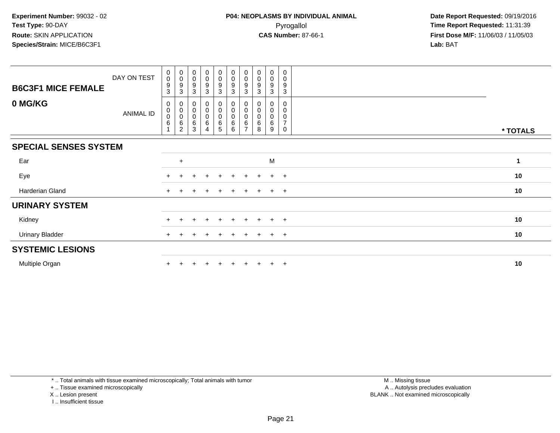| <b>B6C3F1 MICE FEMALE</b>    | DAY ON TEST | $_{\rm 0}^{\rm 0}$<br>$\boldsymbol{9}$<br>3 | $\begin{matrix} 0 \\ 0 \\ 9 \end{matrix}$<br>3                   | $_{\rm 0}^{\rm 0}$<br>$\boldsymbol{9}$<br>3   | $\begin{smallmatrix}0\0\0\end{smallmatrix}$<br>9<br>3 | $\begin{smallmatrix}0\\0\end{smallmatrix}$<br>$\boldsymbol{9}$<br>$\sqrt{3}$ | $\begin{smallmatrix} 0\\0 \end{smallmatrix}$<br>$\boldsymbol{9}$<br>$\mathbf{3}$ | $\pmb{0}$<br>0<br>9<br>3 | $_{\rm 0}^{\rm 0}$<br>$\boldsymbol{9}$<br>3 | 0<br>0<br>9<br>3      | 0<br>$\mathbf 0$<br>9<br>3         |          |
|------------------------------|-------------|---------------------------------------------|------------------------------------------------------------------|-----------------------------------------------|-------------------------------------------------------|------------------------------------------------------------------------------|----------------------------------------------------------------------------------|--------------------------|---------------------------------------------|-----------------------|------------------------------------|----------|
| 0 MG/KG                      | ANIMAL ID   | 0<br>$\pmb{0}$<br>$\,0\,$<br>6              | $\begin{matrix} 0 \\ 0 \\ 0 \\ 6 \end{matrix}$<br>$\overline{2}$ | $\begin{matrix}0\\0\\0\end{matrix}$<br>6<br>3 | 0<br>$\mathsf 0$<br>0<br>6<br>$\overline{4}$          | $\pmb{0}$<br>$\mathbf 0$<br>$\mathbf 0$<br>6<br>5                            | 0<br>$\pmb{0}$<br>$\overline{0}$<br>$\,6$<br>6                                   | 0<br>0<br>6              | 0<br>$\pmb{0}$<br>$\pmb{0}$<br>6<br>8       | 0<br>0<br>0<br>6<br>9 | 0<br>0<br>0<br>$\overline{7}$<br>0 | * TOTALS |
| <b>SPECIAL SENSES SYSTEM</b> |             |                                             |                                                                  |                                               |                                                       |                                                                              |                                                                                  |                          |                                             |                       |                                    |          |
| Ear                          |             |                                             | $\ddot{}$                                                        |                                               |                                                       |                                                                              |                                                                                  |                          |                                             | M                     |                                    | 1        |
| Eye                          |             | $+$                                         |                                                                  | $\div$                                        | $\ddot{}$                                             | $+$                                                                          | $+$                                                                              | $+$                      | $+$                                         | $+$                   | $+$                                | 10       |
| Harderian Gland              |             | $+$                                         |                                                                  | $\ddot{}$                                     | $\ddot{}$                                             | $\pm$                                                                        | $\ddot{}$                                                                        | $+$                      | $+$                                         | $+$                   | $+$                                | 10       |
| <b>URINARY SYSTEM</b>        |             |                                             |                                                                  |                                               |                                                       |                                                                              |                                                                                  |                          |                                             |                       |                                    |          |
| Kidney                       |             | $+$                                         | $\ddot{}$                                                        | $\ddot{}$                                     | $+$                                                   | $+$                                                                          | $+$                                                                              | $+$                      | $+$                                         | $+$                   | $+$                                | 10       |
| <b>Urinary Bladder</b>       |             | $+$                                         |                                                                  | $\div$                                        | $\div$                                                | $\pm$                                                                        | $+$                                                                              | $+$                      | $+$                                         | $+$                   | $+$                                | 10       |
| <b>SYSTEMIC LESIONS</b>      |             |                                             |                                                                  |                                               |                                                       |                                                                              |                                                                                  |                          |                                             |                       |                                    |          |
| Multiple Organ               |             |                                             |                                                                  |                                               |                                                       |                                                                              | $\pm$                                                                            | $+$                      |                                             | $+$                   | $+$                                | 10       |

\* .. Total animals with tissue examined microscopically; Total animals with tumor

+ .. Tissue examined microscopically

X .. Lesion present

I .. Insufficient tissue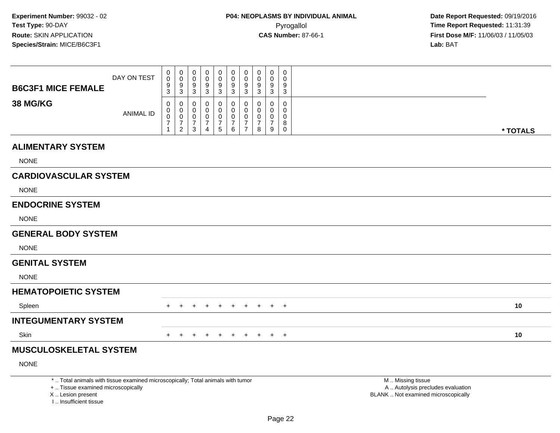**Date Report Requested:** 09/19/2016 **First Dose M/F:** 11/06/03 / 11/05/03<br>**Lab:** BAT **Lab:** BAT

|                                                                                 | DAY ON TEST      | 0<br>$\mathbf 0$<br>9              | 0<br>$\mathbf 0$<br>9                                          | 0<br>$\mathbf 0$<br>9              | 0<br>0                | $\pmb{0}$<br>$\pmb{0}$<br>9                                | $\mathbf 0$<br>$\mathbf 0$                         | 0<br>$\mathbf 0$<br>9                                                   | $\mathbf 0$<br>$\mathbf 0$<br>9 | 0<br>$\Omega$<br>9                     | 0<br>$\Omega$<br>9                                          |                   |          |
|---------------------------------------------------------------------------------|------------------|------------------------------------|----------------------------------------------------------------|------------------------------------|-----------------------|------------------------------------------------------------|----------------------------------------------------|-------------------------------------------------------------------------|---------------------------------|----------------------------------------|-------------------------------------------------------------|-------------------|----------|
| <b>B6C3F1 MICE FEMALE</b>                                                       |                  | 3                                  | $\mathbf{3}$                                                   | 3                                  | $\frac{9}{3}$         | $\overline{3}$                                             | $\frac{9}{3}$                                      | 3                                                                       | 3                               | 3                                      | $\mathbf{3}$                                                |                   |          |
| <b>38 MG/KG</b>                                                                 | <b>ANIMAL ID</b> | 0<br>0<br>0<br>$\overline{7}$<br>1 | 0<br>0<br>$\boldsymbol{0}$<br>$\overline{7}$<br>$\overline{2}$ | 0<br>0<br>0<br>$\overline{7}$<br>3 | 0<br>0<br>0<br>7<br>4 | $\Omega$<br>0<br>$\pmb{0}$<br>$\overline{7}$<br>$\sqrt{5}$ | 0<br>0<br>$\mathbf 0$<br>$\overline{7}$<br>$\,6\,$ | $\Omega$<br>$\Omega$<br>$\mathbf 0$<br>$\overline{7}$<br>$\overline{7}$ | 0<br>0<br>0<br>7<br>8           | $\Omega$<br>0<br>$\mathbf 0$<br>7<br>9 | $\mathbf 0$<br>$\mathbf 0$<br>$\mathbf 0$<br>8<br>$\pmb{0}$ |                   | * TOTALS |
| <b>ALIMENTARY SYSTEM</b>                                                        |                  |                                    |                                                                |                                    |                       |                                                            |                                                    |                                                                         |                                 |                                        |                                                             |                   |          |
| <b>NONE</b>                                                                     |                  |                                    |                                                                |                                    |                       |                                                            |                                                    |                                                                         |                                 |                                        |                                                             |                   |          |
| <b>CARDIOVASCULAR SYSTEM</b>                                                    |                  |                                    |                                                                |                                    |                       |                                                            |                                                    |                                                                         |                                 |                                        |                                                             |                   |          |
| <b>NONE</b>                                                                     |                  |                                    |                                                                |                                    |                       |                                                            |                                                    |                                                                         |                                 |                                        |                                                             |                   |          |
| <b>ENDOCRINE SYSTEM</b>                                                         |                  |                                    |                                                                |                                    |                       |                                                            |                                                    |                                                                         |                                 |                                        |                                                             |                   |          |
| <b>NONE</b>                                                                     |                  |                                    |                                                                |                                    |                       |                                                            |                                                    |                                                                         |                                 |                                        |                                                             |                   |          |
| <b>GENERAL BODY SYSTEM</b>                                                      |                  |                                    |                                                                |                                    |                       |                                                            |                                                    |                                                                         |                                 |                                        |                                                             |                   |          |
| <b>NONE</b>                                                                     |                  |                                    |                                                                |                                    |                       |                                                            |                                                    |                                                                         |                                 |                                        |                                                             |                   |          |
| <b>GENITAL SYSTEM</b>                                                           |                  |                                    |                                                                |                                    |                       |                                                            |                                                    |                                                                         |                                 |                                        |                                                             |                   |          |
| <b>NONE</b>                                                                     |                  |                                    |                                                                |                                    |                       |                                                            |                                                    |                                                                         |                                 |                                        |                                                             |                   |          |
| <b>HEMATOPOIETIC SYSTEM</b>                                                     |                  |                                    |                                                                |                                    |                       |                                                            |                                                    |                                                                         |                                 |                                        |                                                             |                   |          |
| Spleen                                                                          |                  | $+$                                | $+$                                                            | $+$                                | $+$                   | $+$                                                        | $+$                                                | $+$                                                                     | $+$                             | $+$ $+$                                |                                                             |                   | 10       |
| <b>INTEGUMENTARY SYSTEM</b>                                                     |                  |                                    |                                                                |                                    |                       |                                                            |                                                    |                                                                         |                                 |                                        |                                                             |                   |          |
| Skin                                                                            |                  | $+$                                | $+$                                                            | $+$                                | $+$                   | $+$                                                        | $+$                                                | $+$                                                                     | $+$                             |                                        | $+$ $+$                                                     |                   | 10       |
| <b>MUSCULOSKELETAL SYSTEM</b>                                                   |                  |                                    |                                                                |                                    |                       |                                                            |                                                    |                                                                         |                                 |                                        |                                                             |                   |          |
| <b>NONE</b>                                                                     |                  |                                    |                                                                |                                    |                       |                                                            |                                                    |                                                                         |                                 |                                        |                                                             |                   |          |
| *  Total animals with tissue examined microscopically; Total animals with tumor |                  |                                    |                                                                |                                    |                       |                                                            |                                                    |                                                                         |                                 |                                        |                                                             | M  Missing tissue |          |

+ .. Tissue examined microscopically

X .. Lesion present

I .. Insufficient tissue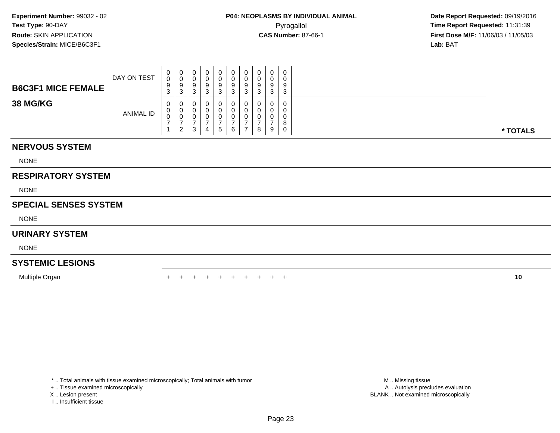| <b>B6C3F1 MICE FEMALE</b> | DAY ON TEST | ◡ | U            | U<br>У<br>w      | 0<br>9           | 0<br>U<br>9<br>3 | 0<br>υ<br>9<br><sup>o</sup><br>ت |  | u<br>9<br>⌒<br>د | 0<br>9<br>◠ | $\overline{0}$<br>0<br>9<br>-3 |
|---------------------------|-------------|---|--------------|------------------|------------------|------------------|----------------------------------|--|------------------|-------------|--------------------------------|
| <b>38 MG/KG</b>           | ANIMAL ID   | ◡ | 0<br>ັບ<br>∼ | U<br>U<br>U<br>3 | 0<br>U<br>U<br>4 | 0<br>U<br>U<br>5 | 0<br>υ<br>υ<br>6                 |  | 0<br>u<br>υ<br>8 | 9           | 0<br>0<br>0<br>Ω<br>o<br>0     |

### **NERVOUS SYSTEM**

NONE

## **RESPIRATORY SYSTEM**

NONE

#### **SPECIAL SENSES SYSTEM**

NONE

#### **URINARY SYSTEM**

NONE

## **SYSTEMIC LESIONS**

Multiple Organn  $+$ 

<sup>+</sup> <sup>+</sup> <sup>+</sup> <sup>+</sup> <sup>+</sup> <sup>+</sup> <sup>+</sup> <sup>+</sup> <sup>+</sup> **<sup>10</sup>**

\* .. Total animals with tissue examined microscopically; Total animals with tumor

+ .. Tissue examined microscopically

X .. Lesion present

I .. Insufficient tissue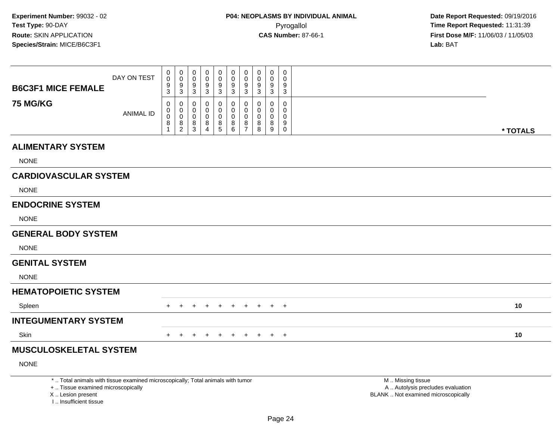| *  Total animals with tissue examined microscopically; Total animals with tumor |                  |                                                   |                                                |                                   |                                       |                              |                                   |                                                     |                                               |                                       |                                         | M  Missing tissue |          |
|---------------------------------------------------------------------------------|------------------|---------------------------------------------------|------------------------------------------------|-----------------------------------|---------------------------------------|------------------------------|-----------------------------------|-----------------------------------------------------|-----------------------------------------------|---------------------------------------|-----------------------------------------|-------------------|----------|
| <b>NONE</b>                                                                     |                  |                                                   |                                                |                                   |                                       |                              |                                   |                                                     |                                               |                                       |                                         |                   |          |
| <b>MUSCULOSKELETAL SYSTEM</b>                                                   |                  |                                                   |                                                |                                   |                                       |                              |                                   |                                                     |                                               |                                       |                                         |                   |          |
| Skin                                                                            |                  |                                                   |                                                |                                   |                                       | $+$                          | $+$                               | $\pm$                                               | $+$                                           | $+$ $+$                               |                                         |                   | 10       |
| <b>INTEGUMENTARY SYSTEM</b>                                                     |                  |                                                   |                                                |                                   |                                       |                              |                                   |                                                     |                                               |                                       |                                         |                   |          |
| Spleen                                                                          |                  | $+$                                               | $\pm$                                          | $\ddot{}$                         |                                       | $+$                          | $+$                               | $+$                                                 | $+$                                           | $+$ $+$                               |                                         |                   | 10       |
| <b>HEMATOPOIETIC SYSTEM</b>                                                     |                  |                                                   |                                                |                                   |                                       |                              |                                   |                                                     |                                               |                                       |                                         |                   |          |
| <b>NONE</b>                                                                     |                  |                                                   |                                                |                                   |                                       |                              |                                   |                                                     |                                               |                                       |                                         |                   |          |
| <b>GENITAL SYSTEM</b>                                                           |                  |                                                   |                                                |                                   |                                       |                              |                                   |                                                     |                                               |                                       |                                         |                   |          |
| <b>NONE</b>                                                                     |                  |                                                   |                                                |                                   |                                       |                              |                                   |                                                     |                                               |                                       |                                         |                   |          |
| <b>GENERAL BODY SYSTEM</b>                                                      |                  |                                                   |                                                |                                   |                                       |                              |                                   |                                                     |                                               |                                       |                                         |                   |          |
| <b>NONE</b>                                                                     |                  |                                                   |                                                |                                   |                                       |                              |                                   |                                                     |                                               |                                       |                                         |                   |          |
| <b>ENDOCRINE SYSTEM</b>                                                         |                  |                                                   |                                                |                                   |                                       |                              |                                   |                                                     |                                               |                                       |                                         |                   |          |
| <b>NONE</b>                                                                     |                  |                                                   |                                                |                                   |                                       |                              |                                   |                                                     |                                               |                                       |                                         |                   |          |
| <b>CARDIOVASCULAR SYSTEM</b>                                                    |                  |                                                   |                                                |                                   |                                       |                              |                                   |                                                     |                                               |                                       |                                         |                   |          |
| <b>NONE</b>                                                                     |                  |                                                   |                                                |                                   |                                       |                              |                                   |                                                     |                                               |                                       |                                         |                   |          |
| <b>ALIMENTARY SYSTEM</b>                                                        |                  |                                                   |                                                |                                   |                                       |                              |                                   |                                                     |                                               |                                       |                                         |                   |          |
| <b>75 MG/KG</b>                                                                 | <b>ANIMAL ID</b> | 0<br>0<br>$\pmb{0}$<br>8                          | 0<br>0<br>$\mathbf 0$<br>8<br>$\boldsymbol{2}$ | 0<br>0<br>0<br>8<br>3             | 0<br>0<br>0<br>8<br>$\overline{4}$    | 0<br>0<br>0<br>$\frac{8}{5}$ | 0<br>0<br>$\pmb{0}$<br>$_{6}^{8}$ | $\Omega$<br>0<br>$\mathbf 0$<br>8<br>$\overline{7}$ | 0<br>0<br>0<br>8<br>8                         | 0<br>0<br>$\mathbf 0$<br>8<br>9       | 0<br>$\mathbf 0$<br>0<br>9<br>$\pmb{0}$ |                   | * TOTALS |
| <b>B6C3F1 MICE FEMALE</b>                                                       | DAY ON TEST      | $\pmb{0}$<br>$\mathsf{O}\xspace$<br>$\frac{9}{3}$ | $\pmb{0}$<br>$\mathbf 0$<br>9<br>$\mathbf{3}$  | $\mathbf 0$<br>$\Omega$<br>9<br>3 | 0<br>$\mathbf 0$<br>9<br>$\mathbf{3}$ | $\pmb{0}$<br>0<br>9<br>3     | $\pmb{0}$<br>0<br>$\frac{9}{3}$   | $\pmb{0}$<br>$\mathbf 0$<br>9<br>$\mathbf{3}$       | $\pmb{0}$<br>$\mathbf 0$<br>9<br>$\mathbf{3}$ | 0<br>$\mathbf 0$<br>9<br>$\mathbf{3}$ | $\mathbf 0$<br>$\Omega$<br>9<br>3       |                   |          |
|                                                                                 |                  |                                                   |                                                |                                   |                                       |                              |                                   |                                                     |                                               |                                       |                                         |                   |          |

+ .. Tissue examined microscopically

X .. Lesion present

I .. Insufficient tissue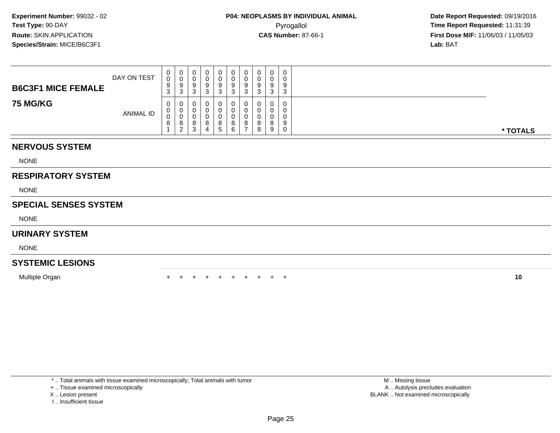| <b>B6C3F1 MICE FEMALE</b> | DAY ON TEST      | ◡<br>ັ | U           | υ<br>У<br>u                 | 0<br>9      | 0<br>9<br>3   | 0<br>υ<br>9<br><sup>o</sup><br>ື | O | 0<br>9<br>د      | Ω       | $\overline{0}$<br>0<br>9<br>3 |          |
|---------------------------|------------------|--------|-------------|-----------------------------|-------------|---------------|----------------------------------|---|------------------|---------|-------------------------------|----------|
| <b>75 MG/KG</b>           | <b>ANIMAL ID</b> | v<br>O | ັ<br>O<br>∠ | U<br>U<br>ດ<br>o<br>◠<br>-3 | U<br>8<br>4 | 0<br>8<br>. 5 | 0<br>8<br>6                      |   | 0<br>u<br>8<br>8 | ິດ<br>9 | 0<br>$\Omega$<br>0<br>9<br>0  | * TOTALS |

## **NERVOUS SYSTEM**

NONE

## **RESPIRATORY SYSTEM**

NONE

#### **SPECIAL SENSES SYSTEM**

NONE

#### **URINARY SYSTEM**

NONE

## **SYSTEMIC LESIONS**

Multiple Organn  $+$ 

<sup>+</sup> <sup>+</sup> <sup>+</sup> <sup>+</sup> <sup>+</sup> <sup>+</sup> <sup>+</sup> <sup>+</sup> <sup>+</sup> **<sup>10</sup>**

\* .. Total animals with tissue examined microscopically; Total animals with tumor

+ .. Tissue examined microscopically

- X .. Lesion present
- I .. Insufficient tissue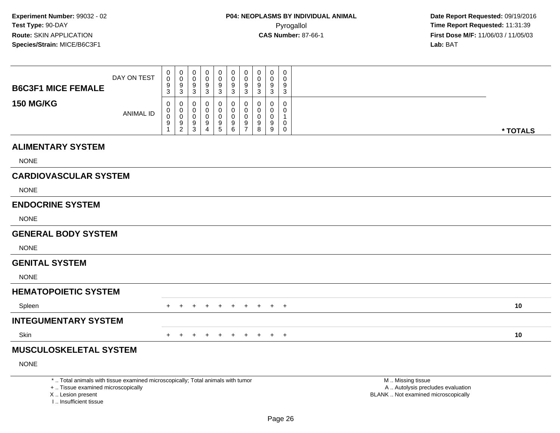| DAY ON TEST                  | 0<br>0<br>9<br>3                | $\mathbf 0$<br>$\pmb{0}$<br>$\frac{9}{3}$                | $\mathbf 0$<br>0<br>$\frac{9}{3}$ | 0<br>0<br>$\frac{9}{3}$ | $\pmb{0}$<br>$\pmb{0}$<br>$\frac{9}{3}$           | $\pmb{0}$<br>$\pmb{0}$<br>$^9_3$                | 0<br>$\mathbf 0$<br>$9\,$<br>$\overline{3}$ | $\mathbf 0$<br>0<br>9<br>3 | $\mathbf 0$<br>0<br>9<br>3 | 0<br>0<br>9<br>3 |                     |          |
|------------------------------|---------------------------------|----------------------------------------------------------|-----------------------------------|-------------------------|---------------------------------------------------|-------------------------------------------------|---------------------------------------------|----------------------------|----------------------------|------------------|---------------------|----------|
| <b>ANIMAL ID</b>             | 0<br>0<br>$\boldsymbol{0}$<br>9 | 0<br>$\boldsymbol{0}$<br>$\mathbf 0$<br>$\boldsymbol{9}$ | 0<br>0<br>$\mathbf 0$<br>9        | 0<br>0<br>0<br>9        | 0<br>$\mathbf 0$<br>$\pmb{0}$<br>$\boldsymbol{9}$ | 0<br>$\pmb{0}$<br>$\pmb{0}$<br>$\boldsymbol{9}$ | 0<br>$\mathbf 0$<br>$\mathbf 0$<br>9        | 0<br>0<br>0<br>9           | 0<br>0<br>$\mathbf 0$<br>9 | 0<br>0<br>1<br>0 |                     |          |
|                              |                                 |                                                          |                                   |                         |                                                   |                                                 |                                             |                            |                            |                  |                     | * TOTALS |
|                              |                                 |                                                          |                                   |                         |                                                   |                                                 |                                             |                            |                            |                  |                     |          |
|                              |                                 |                                                          |                                   |                         |                                                   |                                                 |                                             |                            |                            |                  |                     |          |
| <b>CARDIOVASCULAR SYSTEM</b> |                                 |                                                          |                                   |                         |                                                   |                                                 |                                             |                            |                            |                  |                     |          |
|                              |                                 |                                                          |                                   |                         |                                                   |                                                 |                                             |                            |                            |                  |                     |          |
|                              |                                 |                                                          |                                   |                         |                                                   |                                                 |                                             |                            |                            |                  |                     |          |
|                              |                                 |                                                          |                                   |                         |                                                   |                                                 |                                             |                            |                            |                  |                     |          |
| <b>GENERAL BODY SYSTEM</b>   |                                 |                                                          |                                   |                         |                                                   |                                                 |                                             |                            |                            |                  |                     |          |
|                              |                                 |                                                          |                                   |                         |                                                   |                                                 |                                             |                            |                            |                  |                     |          |
|                              |                                 |                                                          |                                   |                         |                                                   |                                                 |                                             |                            |                            |                  |                     |          |
|                              |                                 |                                                          |                                   |                         |                                                   |                                                 |                                             |                            |                            |                  |                     |          |
| <b>HEMATOPOIETIC SYSTEM</b>  |                                 |                                                          |                                   |                         |                                                   |                                                 |                                             |                            |                            |                  |                     |          |
|                              | $+$                             |                                                          |                                   |                         | $\div$                                            | $+$                                             | $\pm$                                       | $\pm$                      | $+$                        |                  |                     | 10       |
| <b>INTEGUMENTARY SYSTEM</b>  |                                 |                                                          |                                   |                         |                                                   |                                                 |                                             |                            |                            |                  |                     |          |
|                              | $\pm$                           |                                                          |                                   |                         |                                                   |                                                 |                                             |                            | $\pm$                      | $+$              |                     | 10       |
|                              |                                 |                                                          | $\overline{c}$                    | 3                       | $\overline{4}$                                    | $\overline{5}$                                  | $\,6\,$                                     | $\overline{7}$             | 8                          | 9                | $\mathsf{O}$<br>$+$ |          |

# **MUSCULOSKELETAL SYSTEM**

NONE

\* .. Total animals with tissue examined microscopically; Total animals with tumor

+ .. Tissue examined microscopically

X .. Lesion present

I .. Insufficient tissue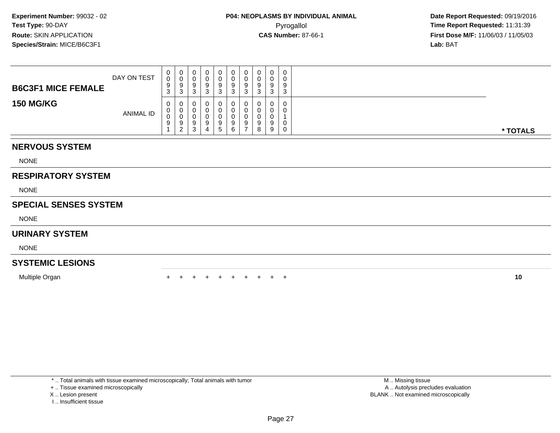| <b>B6C3F1 MICE FEMALE</b> | DAY ON TEST      | U<br>$\Omega$<br>9<br>J. | $\mathbf{0}$<br>-<br>3 | U<br>U<br>9<br>◠<br>J      | 0<br>9<br>ು           | 0<br>0<br>9<br>3       | 0<br>9<br>◠<br>◡ | ◡<br>- ა | 0<br>υ<br>9<br>ა      | 9<br>◡       | 0<br>0<br>9<br>3 |          |
|---------------------------|------------------|--------------------------|------------------------|----------------------------|-----------------------|------------------------|------------------|----------|-----------------------|--------------|------------------|----------|
| <b>150 MG/KG</b>          | <b>ANIMAL ID</b> | 0<br>v<br>9              | 0<br>2<br>_            | U<br>U<br>u<br>y<br>◠<br>ت | 0<br>0<br>0<br>9<br>4 | 0<br>0<br>0<br>9<br>b. | 0<br>9<br>6      |          | υ<br>υ<br>υ<br>9<br>8 | U<br>9<br>-9 | 0<br>0<br>0<br>0 | * TOTALS |

### **NERVOUS SYSTEM**

NONE

## **RESPIRATORY SYSTEM**

NONE

#### **SPECIAL SENSES SYSTEM**

NONE

#### **URINARY SYSTEM**

NONE

## **SYSTEMIC LESIONS**

Multiple Organn  $+$ 

<sup>+</sup> <sup>+</sup> <sup>+</sup> <sup>+</sup> <sup>+</sup> <sup>+</sup> <sup>+</sup> <sup>+</sup> <sup>+</sup> **<sup>10</sup>**

\* .. Total animals with tissue examined microscopically; Total animals with tumor

+ .. Tissue examined microscopically

X .. Lesion present

I .. Insufficient tissue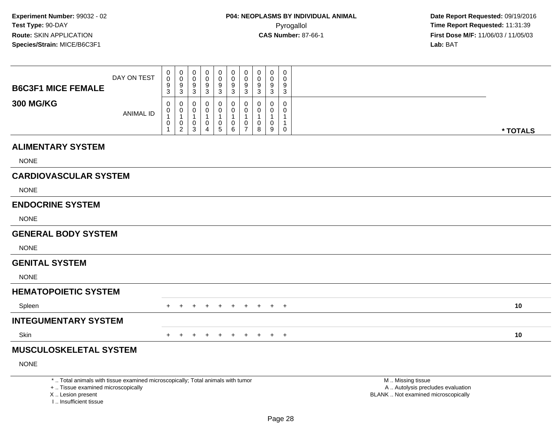| <b>B6C3F1 MICE FEMALE</b>                                                                                             | DAY ON TEST      | 0<br>$\mathbf 0$<br>9<br>3       | $\pmb{0}$<br>$\mathbf 0$<br>9<br>3                                | 0<br>0<br>9<br>3                 | 0<br>0<br>9<br>$\mathbf{3}$                  | 0<br>0<br>$\frac{9}{3}$                              | 0<br>0<br>$9\,$<br>$\mathbf{3}$    | 0<br>$\mathbf 0$<br>9<br>$\mathbf{3}$                   | 0<br>$\Omega$<br>9<br>3 | $\mathbf 0$<br>0<br>9<br>3                    | 0<br>0<br>9<br>3                  |                                                        |
|-----------------------------------------------------------------------------------------------------------------------|------------------|----------------------------------|-------------------------------------------------------------------|----------------------------------|----------------------------------------------|------------------------------------------------------|------------------------------------|---------------------------------------------------------|-------------------------|-----------------------------------------------|-----------------------------------|--------------------------------------------------------|
| <b>300 MG/KG</b>                                                                                                      | <b>ANIMAL ID</b> | 0<br>0<br>$\mathbf{1}$<br>0<br>1 | 0<br>$\mathbf 0$<br>$\mathbf{1}$<br>$\mathbf 0$<br>$\overline{2}$ | 0<br>0<br>1<br>0<br>$\mathbf{3}$ | 0<br>0<br>1<br>$\mathbf 0$<br>$\overline{4}$ | 0<br>0<br>1<br>$\begin{array}{c} 0 \\ 5 \end{array}$ | 0<br>0<br>1<br>0<br>$6\phantom{1}$ | 0<br>0<br>$\mathbf{1}$<br>$\mathbf 0$<br>$\overline{7}$ | $\Omega$<br>0<br>8      | $\Omega$<br>$\Omega$<br>1<br>$\mathbf 0$<br>9 | 0<br>$\Omega$<br>1<br>$\mathbf 0$ | * TOTALS                                               |
| <b>ALIMENTARY SYSTEM</b>                                                                                              |                  |                                  |                                                                   |                                  |                                              |                                                      |                                    |                                                         |                         |                                               |                                   |                                                        |
| <b>NONE</b>                                                                                                           |                  |                                  |                                                                   |                                  |                                              |                                                      |                                    |                                                         |                         |                                               |                                   |                                                        |
| <b>CARDIOVASCULAR SYSTEM</b>                                                                                          |                  |                                  |                                                                   |                                  |                                              |                                                      |                                    |                                                         |                         |                                               |                                   |                                                        |
| <b>NONE</b>                                                                                                           |                  |                                  |                                                                   |                                  |                                              |                                                      |                                    |                                                         |                         |                                               |                                   |                                                        |
| <b>ENDOCRINE SYSTEM</b>                                                                                               |                  |                                  |                                                                   |                                  |                                              |                                                      |                                    |                                                         |                         |                                               |                                   |                                                        |
| <b>NONE</b>                                                                                                           |                  |                                  |                                                                   |                                  |                                              |                                                      |                                    |                                                         |                         |                                               |                                   |                                                        |
| <b>GENERAL BODY SYSTEM</b>                                                                                            |                  |                                  |                                                                   |                                  |                                              |                                                      |                                    |                                                         |                         |                                               |                                   |                                                        |
| <b>NONE</b>                                                                                                           |                  |                                  |                                                                   |                                  |                                              |                                                      |                                    |                                                         |                         |                                               |                                   |                                                        |
| <b>GENITAL SYSTEM</b>                                                                                                 |                  |                                  |                                                                   |                                  |                                              |                                                      |                                    |                                                         |                         |                                               |                                   |                                                        |
| <b>NONE</b>                                                                                                           |                  |                                  |                                                                   |                                  |                                              |                                                      |                                    |                                                         |                         |                                               |                                   |                                                        |
| <b>HEMATOPOIETIC SYSTEM</b>                                                                                           |                  |                                  |                                                                   |                                  |                                              |                                                      |                                    |                                                         |                         |                                               |                                   |                                                        |
| Spleen                                                                                                                |                  | $+$                              | $+$                                                               | $+$                              |                                              | $+$                                                  | $+$                                |                                                         | + + + +                 |                                               |                                   | 10                                                     |
| <b>INTEGUMENTARY SYSTEM</b>                                                                                           |                  |                                  |                                                                   |                                  |                                              |                                                      |                                    |                                                         |                         |                                               |                                   |                                                        |
| Skin                                                                                                                  |                  |                                  |                                                                   | $\div$                           | $\pm$                                        | $+$                                                  | $+$                                | $+$                                                     | $+$                     |                                               | $+$ $+$                           | 10                                                     |
| <b>MUSCULOSKELETAL SYSTEM</b>                                                                                         |                  |                                  |                                                                   |                                  |                                              |                                                      |                                    |                                                         |                         |                                               |                                   |                                                        |
| <b>NONE</b>                                                                                                           |                  |                                  |                                                                   |                                  |                                              |                                                      |                                    |                                                         |                         |                                               |                                   |                                                        |
| *  Total animals with tissue examined microscopically; Total animals with tumor<br>+  Tissue examined microscopically |                  |                                  |                                                                   |                                  |                                              |                                                      |                                    |                                                         |                         |                                               |                                   | M  Missing tissue<br>A  Autolysis precludes evaluation |

X .. Lesion present

I .. Insufficient tissue

 A .. Autolysis precludes evaluationLesion present BLANK .. Not examined microscopically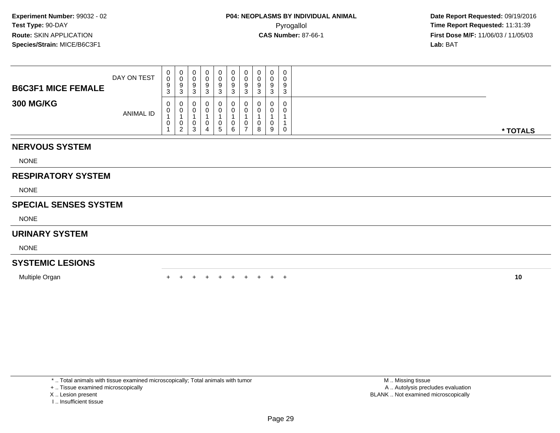| <b>NERVOUS SYSTEM</b>     |                  |                   |                  |                        |              |                    |        |    |                       |                       |                  |          |
|---------------------------|------------------|-------------------|------------------|------------------------|--------------|--------------------|--------|----|-----------------------|-----------------------|------------------|----------|
|                           | <b>ANIMAL ID</b> | 0<br>$\mathbf{0}$ | υ<br>v<br>റ<br>ے | 0<br>0<br>3            | ັບ<br>4      | $\Omega$<br>0<br>5 |        |    | U<br>υ<br>8           | $\mathbf 0$<br>0<br>9 | 0<br>0           | * TOTALS |
| <b>300 MG/KG</b>          |                  | $\overline{0}$    | U                | 0                      |              | 0                  |        |    | 0                     | 0                     | 0                |          |
| <b>B6C3F1 MICE FEMALE</b> | DAY ON TEST      | 0<br>0<br>9<br>3  | 0<br>v<br>9<br>3 | $\mathbf{0}$<br>9<br>3 | U<br>9<br>J. | 0<br>0<br>9<br>3   | 9<br>Ő | J. | 0<br>U<br>9<br>◠<br>J | 0<br>0<br>9<br>3      | 0<br>0<br>9<br>3 |          |

NONE

#### **RESPIRATORY SYSTEM**

NONE

## **SPECIAL SENSES SYSTEM**

NONE

#### **URINARY SYSTEM**

NONE

## **SYSTEMIC LESIONS**

Multiple Organn  $+$ 

<sup>+</sup> <sup>+</sup> <sup>+</sup> <sup>+</sup> <sup>+</sup> <sup>+</sup> <sup>+</sup> <sup>+</sup> <sup>+</sup> **<sup>10</sup>**

\* .. Total animals with tissue examined microscopically; Total animals with tumor

+ .. Tissue examined microscopically

X .. Lesion present

I .. Insufficient tissue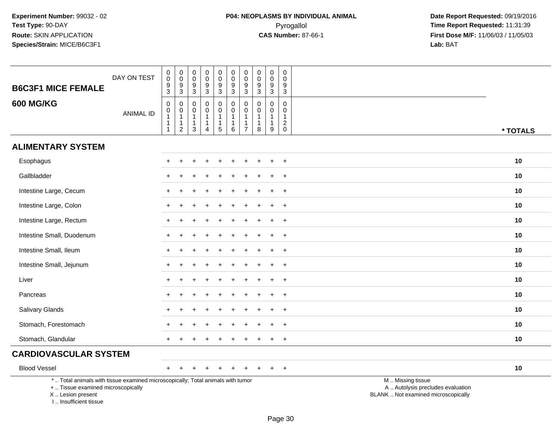| <b>B6C3F1 MICE FEMALE</b>                                                                                                                                          | DAY ON TEST      | $\begin{smallmatrix} 0\\0 \end{smallmatrix}$<br>$\frac{9}{3}$                | $_{\rm 0}^{\rm 0}$<br>$\frac{9}{3}$                                        | $\pmb{0}$<br>$\pmb{0}$<br>9<br>$\mathbf{3}$                                | $\pmb{0}$<br>$\pmb{0}$<br>$\boldsymbol{9}$<br>$\overline{3}$     | $\pmb{0}$<br>$\mathbf 0$<br>9<br>$\overline{3}$               | $\mathsf{O}\xspace$<br>$\mathsf 0$<br>9<br>$\overline{3}$ | $\pmb{0}$<br>$\mathsf{O}\xspace$<br>9<br>$\mathfrak{Z}$                | $\pmb{0}$<br>$\pmb{0}$<br>$\boldsymbol{9}$<br>$\overline{3}$    | $\pmb{0}$<br>$\pmb{0}$<br>$\boldsymbol{9}$<br>$\overline{3}$        | $\mathbf 0$<br>$\mathbf 0$<br>9<br>$\overline{3}$                       |                                                                                               |          |
|--------------------------------------------------------------------------------------------------------------------------------------------------------------------|------------------|------------------------------------------------------------------------------|----------------------------------------------------------------------------|----------------------------------------------------------------------------|------------------------------------------------------------------|---------------------------------------------------------------|-----------------------------------------------------------|------------------------------------------------------------------------|-----------------------------------------------------------------|---------------------------------------------------------------------|-------------------------------------------------------------------------|-----------------------------------------------------------------------------------------------|----------|
| <b>600 MG/KG</b>                                                                                                                                                   | <b>ANIMAL ID</b> | $\mathsf{O}\xspace$<br>$\mathbf 0$<br>$\overline{1}$<br>$\overline{1}$<br>-1 | $\mathbf 0$<br>$\mathbf 0$<br>$\overline{1}$<br>$\mathbf{1}$<br>$\sqrt{2}$ | $\mathbf 0$<br>$\mathbf 0$<br>$\mathbf{1}$<br>$\mathbf{1}$<br>$\mathbf{3}$ | 0<br>$\pmb{0}$<br>$\mathbf{1}$<br>$\mathbf{1}$<br>$\overline{4}$ | $\pmb{0}$<br>$\mathbf 0$<br>$\mathbf{1}$<br>$\mathbf{1}$<br>5 | $\mathbf 0$<br>$\mathbf 0$<br>1<br>1<br>6                 | $\Omega$<br>$\Omega$<br>$\mathbf{1}$<br>$\mathbf{1}$<br>$\overline{7}$ | $\mathbf 0$<br>$\mathbf 0$<br>$\mathbf{1}$<br>$\mathbf{1}$<br>8 | $\mathbf 0$<br>$\mathbf 0$<br>$\mathbf{1}$<br>1<br>$\boldsymbol{9}$ | $\mathbf 0$<br>$\mathbf 0$<br>$\mathbf{1}$<br>$\sqrt{2}$<br>$\mathbf 0$ |                                                                                               | * TOTALS |
| <b>ALIMENTARY SYSTEM</b>                                                                                                                                           |                  |                                                                              |                                                                            |                                                                            |                                                                  |                                                               |                                                           |                                                                        |                                                                 |                                                                     |                                                                         |                                                                                               |          |
| Esophagus                                                                                                                                                          |                  |                                                                              | ÷                                                                          |                                                                            |                                                                  |                                                               |                                                           |                                                                        |                                                                 | ÷                                                                   | $\ddot{}$                                                               |                                                                                               | 10       |
| Gallbladder                                                                                                                                                        |                  |                                                                              |                                                                            |                                                                            |                                                                  |                                                               |                                                           |                                                                        |                                                                 |                                                                     | $\overline{1}$                                                          |                                                                                               | 10       |
| Intestine Large, Cecum                                                                                                                                             |                  |                                                                              |                                                                            |                                                                            |                                                                  |                                                               |                                                           |                                                                        |                                                                 |                                                                     | $\overline{1}$                                                          |                                                                                               | 10       |
| Intestine Large, Colon                                                                                                                                             |                  |                                                                              |                                                                            |                                                                            |                                                                  |                                                               |                                                           |                                                                        |                                                                 | $\div$                                                              | $\ddot{}$                                                               |                                                                                               | 10       |
| Intestine Large, Rectum                                                                                                                                            |                  |                                                                              |                                                                            |                                                                            |                                                                  |                                                               |                                                           |                                                                        |                                                                 |                                                                     | $\overline{ }$                                                          |                                                                                               | 10       |
| Intestine Small, Duodenum                                                                                                                                          |                  |                                                                              |                                                                            |                                                                            |                                                                  |                                                               |                                                           |                                                                        |                                                                 |                                                                     | $\overline{1}$                                                          |                                                                                               | 10       |
| Intestine Small, Ileum                                                                                                                                             |                  |                                                                              |                                                                            |                                                                            |                                                                  |                                                               |                                                           |                                                                        |                                                                 | $\ddot{}$                                                           | $+$                                                                     |                                                                                               | 10       |
| Intestine Small, Jejunum                                                                                                                                           |                  |                                                                              |                                                                            |                                                                            |                                                                  |                                                               |                                                           |                                                                        |                                                                 |                                                                     | $\ddot{}$                                                               |                                                                                               | 10       |
| Liver                                                                                                                                                              |                  |                                                                              |                                                                            |                                                                            |                                                                  |                                                               |                                                           |                                                                        |                                                                 |                                                                     | $\overline{1}$                                                          |                                                                                               | 10       |
| Pancreas                                                                                                                                                           |                  |                                                                              |                                                                            |                                                                            |                                                                  |                                                               |                                                           |                                                                        |                                                                 | $\ddot{}$                                                           | $^{+}$                                                                  |                                                                                               | 10       |
| Salivary Glands                                                                                                                                                    |                  |                                                                              |                                                                            |                                                                            |                                                                  |                                                               |                                                           |                                                                        |                                                                 | $\div$                                                              | $+$                                                                     |                                                                                               | 10       |
| Stomach, Forestomach                                                                                                                                               |                  |                                                                              |                                                                            |                                                                            |                                                                  |                                                               |                                                           |                                                                        |                                                                 |                                                                     |                                                                         |                                                                                               | 10       |
| Stomach, Glandular                                                                                                                                                 |                  |                                                                              |                                                                            |                                                                            |                                                                  |                                                               |                                                           |                                                                        |                                                                 | +                                                                   | $^{+}$                                                                  |                                                                                               | 10       |
| <b>CARDIOVASCULAR SYSTEM</b>                                                                                                                                       |                  |                                                                              |                                                                            |                                                                            |                                                                  |                                                               |                                                           |                                                                        |                                                                 |                                                                     |                                                                         |                                                                                               |          |
| <b>Blood Vessel</b>                                                                                                                                                |                  | $+$                                                                          | ÷                                                                          |                                                                            | $\ddot{}$                                                        |                                                               |                                                           |                                                                        |                                                                 | $\ddot{}$                                                           | $+$                                                                     |                                                                                               | 10       |
| *  Total animals with tissue examined microscopically; Total animals with tumor<br>+  Tissue examined microscopically<br>X Lesion present<br>I Insufficient tissue |                  |                                                                              |                                                                            |                                                                            |                                                                  |                                                               |                                                           |                                                                        |                                                                 |                                                                     |                                                                         | M  Missing tissue<br>A  Autolysis precludes evaluation<br>BLANK  Not examined microscopically |          |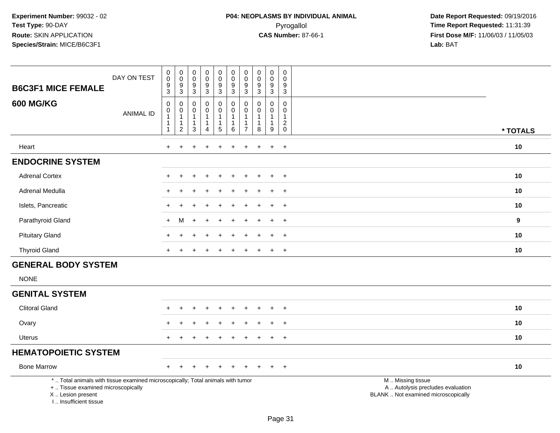| <b>B6C3F1 MICE FEMALE</b>                                                                                                                                           | DAY ON TEST      | $\pmb{0}$<br>$\mathbf 0$<br>$\boldsymbol{9}$<br>3                          | $\pmb{0}$<br>$\pmb{0}$<br>$\boldsymbol{9}$<br>$\mathbf{3}$       | $\pmb{0}$<br>$\mathbf 0$<br>$\boldsymbol{9}$<br>$\sqrt{3}$ | $\pmb{0}$<br>$\ddot{\mathbf{0}}$<br>$\boldsymbol{9}$<br>$\mathbf{3}$ | $\pmb{0}$<br>$\pmb{0}$<br>$\boldsymbol{9}$<br>$\mathbf{3}$        | $\mathbf 0$<br>$\mathbf 0$<br>$\boldsymbol{9}$<br>3             | 0<br>$\mathbf 0$<br>9<br>3                   | $\mathbf 0$<br>$\mathbf 0$<br>$\boldsymbol{9}$<br>$\mathbf{3}$ | $\pmb{0}$<br>$\pmb{0}$<br>$\boldsymbol{9}$<br>$\mathbf{3}$ | $\pmb{0}$<br>$\mathbf 0$<br>$\boldsymbol{9}$<br>$\mathbf{3}$ |                                                                                               |                  |
|---------------------------------------------------------------------------------------------------------------------------------------------------------------------|------------------|----------------------------------------------------------------------------|------------------------------------------------------------------|------------------------------------------------------------|----------------------------------------------------------------------|-------------------------------------------------------------------|-----------------------------------------------------------------|----------------------------------------------|----------------------------------------------------------------|------------------------------------------------------------|--------------------------------------------------------------|-----------------------------------------------------------------------------------------------|------------------|
| <b>600 MG/KG</b>                                                                                                                                                    | <b>ANIMAL ID</b> | $\mathbf 0$<br>$\pmb{0}$<br>$\mathbf{1}$<br>$\overline{1}$<br>$\mathbf{1}$ | 0<br>$\pmb{0}$<br>$\mathbf{1}$<br>$\mathbf{1}$<br>$\overline{c}$ | 0<br>0<br>$\mathbf{1}$<br>$\mathbf{1}$<br>3                | 0<br>$\mathbf 0$<br>1<br>1<br>$\overline{4}$                         | 0<br>$\mathbf 0$<br>$\overline{1}$<br>$\mathbf{1}$<br>$\,$ 5 $\,$ | $\mathbf 0$<br>$\pmb{0}$<br>$\mathbf{1}$<br>$\overline{1}$<br>6 | $\mathbf 0$<br>0<br>1<br>1<br>$\overline{7}$ | $\Omega$<br>$\Omega$<br>-1<br>-1<br>8                          | $\mathbf 0$<br>0<br>$\mathbf 1$<br>1<br>$9\,$              | $\mathbf 0$<br>$\mathbf 0$<br>$\mathbf{1}$<br>$^2_{\rm 0}$   |                                                                                               | * TOTALS         |
| Heart                                                                                                                                                               |                  | $+$                                                                        | $\ddot{}$                                                        |                                                            | $\div$                                                               | $\div$                                                            | $\ddot{}$                                                       | $\ddot{}$                                    | $\pm$                                                          | $\ddot{}$                                                  | $+$                                                          |                                                                                               | 10               |
| <b>ENDOCRINE SYSTEM</b>                                                                                                                                             |                  |                                                                            |                                                                  |                                                            |                                                                      |                                                                   |                                                                 |                                              |                                                                |                                                            |                                                              |                                                                                               |                  |
| <b>Adrenal Cortex</b>                                                                                                                                               |                  |                                                                            |                                                                  |                                                            |                                                                      |                                                                   |                                                                 |                                              |                                                                |                                                            | $\overline{+}$                                               |                                                                                               | 10               |
| Adrenal Medulla                                                                                                                                                     |                  |                                                                            |                                                                  |                                                            |                                                                      |                                                                   |                                                                 |                                              |                                                                |                                                            | $+$                                                          |                                                                                               | 10               |
| Islets, Pancreatic                                                                                                                                                  |                  |                                                                            |                                                                  |                                                            |                                                                      |                                                                   |                                                                 |                                              |                                                                | $\div$                                                     | $+$                                                          |                                                                                               | 10               |
| Parathyroid Gland                                                                                                                                                   |                  | $\pm$                                                                      | M                                                                |                                                            |                                                                      |                                                                   |                                                                 |                                              |                                                                |                                                            | $\ddot{}$                                                    |                                                                                               | $\boldsymbol{9}$ |
| <b>Pituitary Gland</b>                                                                                                                                              |                  |                                                                            |                                                                  |                                                            |                                                                      |                                                                   |                                                                 |                                              |                                                                |                                                            | $\overline{+}$                                               |                                                                                               | 10               |
| <b>Thyroid Gland</b>                                                                                                                                                |                  | $\pm$                                                                      | ÷                                                                |                                                            |                                                                      | ÷                                                                 |                                                                 |                                              |                                                                | $\pm$                                                      | $+$                                                          |                                                                                               | 10               |
| <b>GENERAL BODY SYSTEM</b>                                                                                                                                          |                  |                                                                            |                                                                  |                                                            |                                                                      |                                                                   |                                                                 |                                              |                                                                |                                                            |                                                              |                                                                                               |                  |
| <b>NONE</b>                                                                                                                                                         |                  |                                                                            |                                                                  |                                                            |                                                                      |                                                                   |                                                                 |                                              |                                                                |                                                            |                                                              |                                                                                               |                  |
| <b>GENITAL SYSTEM</b>                                                                                                                                               |                  |                                                                            |                                                                  |                                                            |                                                                      |                                                                   |                                                                 |                                              |                                                                |                                                            |                                                              |                                                                                               |                  |
| <b>Clitoral Gland</b>                                                                                                                                               |                  |                                                                            |                                                                  |                                                            |                                                                      |                                                                   |                                                                 |                                              |                                                                |                                                            | $\ddot{}$                                                    |                                                                                               | 10               |
| Ovary                                                                                                                                                               |                  |                                                                            |                                                                  |                                                            |                                                                      |                                                                   |                                                                 |                                              |                                                                |                                                            | $\ddot{}$                                                    |                                                                                               | 10               |
| <b>Uterus</b>                                                                                                                                                       |                  |                                                                            |                                                                  |                                                            |                                                                      |                                                                   |                                                                 |                                              |                                                                |                                                            | $+$                                                          |                                                                                               | 10               |
| <b>HEMATOPOIETIC SYSTEM</b>                                                                                                                                         |                  |                                                                            |                                                                  |                                                            |                                                                      |                                                                   |                                                                 |                                              |                                                                |                                                            |                                                              |                                                                                               |                  |
| <b>Bone Marrow</b>                                                                                                                                                  |                  | $+$                                                                        |                                                                  |                                                            |                                                                      |                                                                   |                                                                 |                                              |                                                                | ÷                                                          | $+$                                                          |                                                                                               | 10               |
| *  Total animals with tissue examined microscopically; Total animals with tumor<br>+  Tissue examined microscopically<br>X  Lesion present<br>I Insufficient tissue |                  |                                                                            |                                                                  |                                                            |                                                                      |                                                                   |                                                                 |                                              |                                                                |                                                            |                                                              | M  Missing tissue<br>A  Autolysis precludes evaluation<br>BLANK  Not examined microscopically |                  |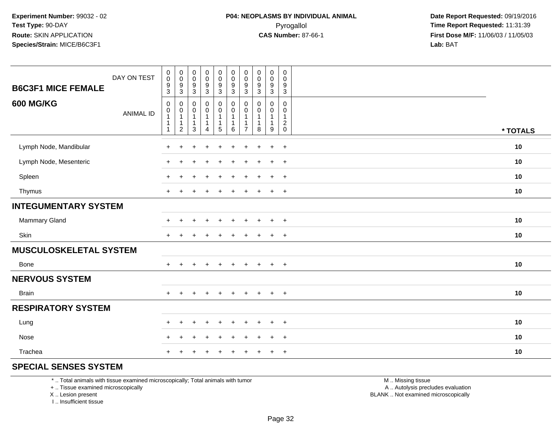| <b>B6C3F1 MICE FEMALE</b>     | DAY ON TEST      | $\begin{smallmatrix} 0\\0 \end{smallmatrix}$<br>$\frac{9}{3}$              | $\pmb{0}$<br>$\mathbf 0$<br>$\frac{9}{3}$     | $_{\rm 0}^{\rm 0}$<br>$\boldsymbol{9}$<br>$\mathbf{3}$                     | $\begin{smallmatrix}0\0\0\end{smallmatrix}$<br>$\frac{9}{3}$ | $\begin{smallmatrix} 0\\0 \end{smallmatrix}$<br>$\frac{9}{3}$ | $\begin{smallmatrix} 0\\0 \end{smallmatrix}$<br>$\frac{9}{3}$           | $\pmb{0}$<br>$\mathbf 0$<br>9<br>$\mathbf{3}$ | 0<br>$\mathsf{O}\xspace$<br>$\boldsymbol{9}$<br>3 | $\pmb{0}$<br>$\mathbf 0$<br>$\frac{9}{3}$ | $\mathsf{O}\xspace$<br>$\mathbf 0$<br>$\boldsymbol{9}$<br>$\sqrt{3}$ |          |
|-------------------------------|------------------|----------------------------------------------------------------------------|-----------------------------------------------|----------------------------------------------------------------------------|--------------------------------------------------------------|---------------------------------------------------------------|-------------------------------------------------------------------------|-----------------------------------------------|---------------------------------------------------|-------------------------------------------|----------------------------------------------------------------------|----------|
| <b>600 MG/KG</b>              | <b>ANIMAL ID</b> | $\mathbf 0$<br>$\pmb{0}$<br>$\mathbf{1}$<br>$\overline{1}$<br>$\mathbf{1}$ | 0<br>0<br>$\mathbf{1}$<br>1<br>$\overline{c}$ | $\mathbf 0$<br>$\mathbf 0$<br>$\mathbf{1}$<br>$\mathbf{1}$<br>$\mathbf{3}$ | $\mathbf 0$<br>$\overline{0}$<br>$\mathbf{1}$<br>4           | $_{\rm 0}^{\rm 0}$<br>$\mathbf{1}$<br>1<br>$\sqrt{5}$         | $\mathbf 0$<br>$\overline{0}$<br>$\mathbf{1}$<br>$\mathbf 1$<br>$\,6\,$ | 0<br>0<br>-1<br>$\overline{7}$                | 0<br>$\mathbf 0$<br>$\mathbf{1}$<br>1<br>8        | 0<br>0<br>$\mathbf{1}$<br>9               | $\pmb{0}$<br>0<br>$\mathbf{1}$<br>$\sqrt{2}$<br>$\mathsf{O}\xspace$  | * TOTALS |
| Lymph Node, Mandibular        |                  | $\pm$                                                                      | $\ddot{}$                                     | ÷                                                                          | $\ddot{}$                                                    | $\ddot{}$                                                     | $\ddot{}$                                                               | $\ddot{}$                                     | $\ddot{}$                                         | $\ddot{}$                                 | $+$                                                                  | 10       |
| Lymph Node, Mesenteric        |                  | $\div$                                                                     |                                               |                                                                            |                                                              |                                                               |                                                                         |                                               |                                                   | $\ddot{}$                                 | $+$                                                                  | 10       |
| Spleen                        |                  |                                                                            |                                               |                                                                            |                                                              | ÷                                                             |                                                                         | $\pm$                                         |                                                   | $\ddot{}$                                 | $+$                                                                  | 10       |
| Thymus                        |                  | $+$                                                                        |                                               |                                                                            |                                                              |                                                               |                                                                         |                                               |                                                   | $\ddot{}$                                 | $+$                                                                  | 10       |
| <b>INTEGUMENTARY SYSTEM</b>   |                  |                                                                            |                                               |                                                                            |                                                              |                                                               |                                                                         |                                               |                                                   |                                           |                                                                      |          |
| Mammary Gland                 |                  | $\div$                                                                     |                                               |                                                                            |                                                              |                                                               |                                                                         |                                               |                                                   | $\div$                                    | $+$                                                                  | 10       |
| Skin                          |                  | $\pm$                                                                      |                                               |                                                                            |                                                              |                                                               |                                                                         |                                               |                                                   | $\div$                                    | $\overline{+}$                                                       | 10       |
| <b>MUSCULOSKELETAL SYSTEM</b> |                  |                                                                            |                                               |                                                                            |                                                              |                                                               |                                                                         |                                               |                                                   |                                           |                                                                      |          |
| Bone                          |                  | $\ddot{}$                                                                  | $\ddot{}$                                     | $\ddot{}$                                                                  | $\ddot{}$                                                    | $+$                                                           | $\ddot{}$                                                               | $+$                                           | $\ddot{}$                                         | $\ddot{}$                                 | $+$                                                                  | 10       |
| <b>NERVOUS SYSTEM</b>         |                  |                                                                            |                                               |                                                                            |                                                              |                                                               |                                                                         |                                               |                                                   |                                           |                                                                      |          |
| <b>Brain</b>                  |                  | $+$                                                                        | $\ddot{}$                                     |                                                                            | $\ddot{}$                                                    | $\ddot{}$                                                     | $+$                                                                     | $+$                                           | $+$                                               | $+$                                       | $+$                                                                  | 10       |
| <b>RESPIRATORY SYSTEM</b>     |                  |                                                                            |                                               |                                                                            |                                                              |                                                               |                                                                         |                                               |                                                   |                                           |                                                                      |          |
| Lung                          |                  | $\pm$                                                                      | $\ddot{}$                                     |                                                                            |                                                              |                                                               |                                                                         |                                               |                                                   | $\div$                                    | $+$                                                                  | 10       |
| Nose                          |                  | $\ddot{}$                                                                  | $\ddot{}$                                     |                                                                            |                                                              |                                                               |                                                                         |                                               |                                                   | $\div$                                    | $+$                                                                  | 10       |
| Trachea                       |                  |                                                                            |                                               |                                                                            |                                                              |                                                               |                                                                         |                                               |                                                   | $\ddot{}$                                 | $+$                                                                  | 10       |

#### **SPECIAL SENSES SYSTEM**

\* .. Total animals with tissue examined microscopically; Total animals with tumor

+ .. Tissue examined microscopically

X .. Lesion present

I .. Insufficient tissue